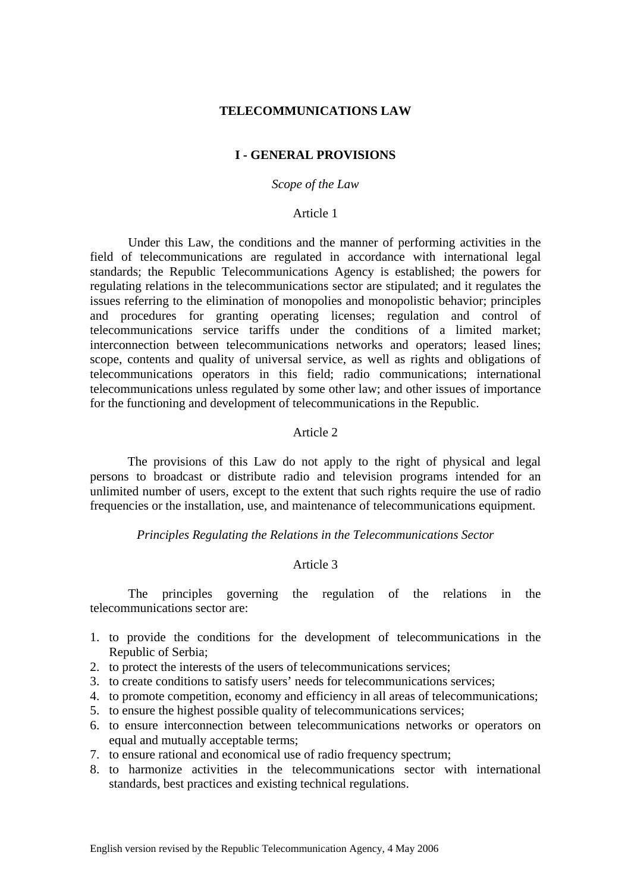# **TELECOMMUNICATIONS LAW**

## **I - GENERAL PROVISIONS**

# *Scope of the Law*

### Article 1

Under this Law, the conditions and the manner of performing activities in the field of telecommunications are regulated in accordance with international legal standards; the Republic Telecommunications Agency is established; the powers for regulating relations in the telecommunications sector are stipulated; and it regulates the issues referring to the elimination of monopolies and monopolistic behavior; principles and procedures for granting operating licenses; regulation and control of telecommunications service tariffs under the conditions of a limited market; interconnection between telecommunications networks and operators; leased lines; scope, contents and quality of universal service, as well as rights and obligations of telecommunications operators in this field; radio communications; international telecommunications unless regulated by some other law; and other issues of importance for the functioning and development of telecommunications in the Republic.

### Article 2

The provisions of this Law do not apply to the right of physical and legal persons to broadcast or distribute radio and television programs intended for an unlimited number of users, except to the extent that such rights require the use of radio frequencies or the installation, use, and maintenance of telecommunications equipment.

#### *Principles Regulating the Relations in the Telecommunications Sector*

# Article 3

The principles governing the regulation of the relations in the telecommunications sector are:

- 1. to provide the conditions for the development of telecommunications in the Republic of Serbia;
- 2. to protect the interests of the users of telecommunications services;
- 3. to create conditions to satisfy users' needs for telecommunications services;
- 4. to promote competition, economy and efficiency in all areas of telecommunications;
- 5. to ensure the highest possible quality of telecommunications services;
- 6. to ensure interconnection between telecommunications networks or operators on equal and mutually acceptable terms;
- 7. to ensure rational and economical use of radio frequency spectrum;
- 8. to harmonize activities in the telecommunications sector with international standards, best practices and existing technical regulations.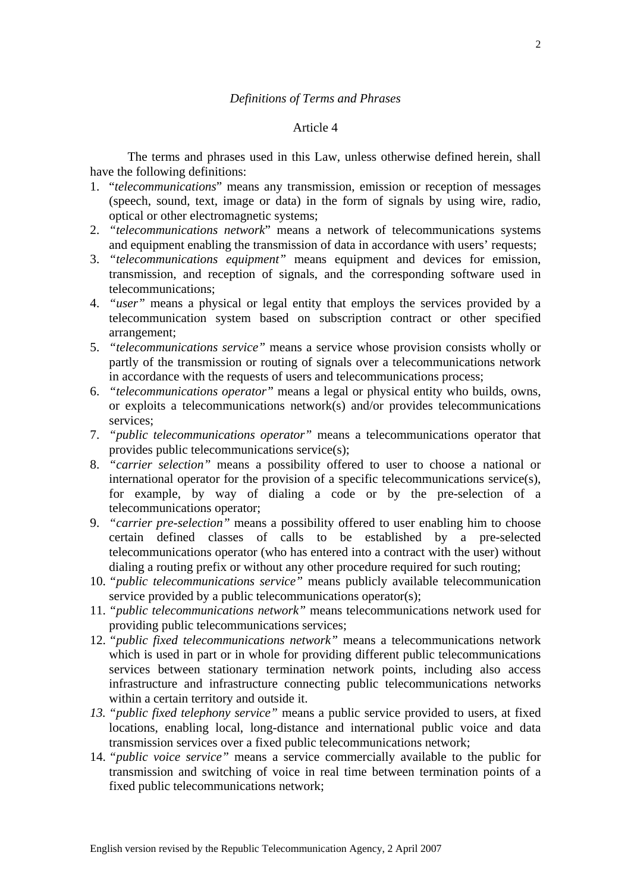# Article 4

The terms and phrases used in this Law, unless otherwise defined herein, shall have the following definitions:

- 1. "*telecommunications*" means any transmission, emission or reception of messages (speech, sound, text, image or data) in the form of signals by using wire, radio, optical or other electromagnetic systems;
- 2. *"telecommunications network*" means a network of telecommunications systems and equipment enabling the transmission of data in accordance with users' requests;
- 3. *"telecommunications equipment"* means equipment and devices for emission, transmission, and reception of signals, and the corresponding software used in telecommunications;
- 4. *"user"* means a physical or legal entity that employs the services provided by a telecommunication system based on subscription contract or other specified arrangement;
- 5. *"telecommunications service"* means a service whose provision consists wholly or partly of the transmission or routing of signals over a telecommunications network in accordance with the requests of users and telecommunications process;
- 6. *"telecommunications operator"* means a legal or physical entity who builds, owns, or exploits a telecommunications network(s) and/or provides telecommunications services;
- 7. *"public telecommunications operator"* means a telecommunications operator that provides public telecommunications service(s);
- 8. *"carrier selection"* means a possibility offered to user to choose a national or international operator for the provision of a specific telecommunications service(s), for example, by way of dialing a code or by the pre-selection of a telecommunications operator;
- 9. *"carrier pre-selection"* means a possibility offered to user enabling him to choose certain defined classes of calls to be established by a pre-selected telecommunications operator (who has entered into a contract with the user) without dialing a routing prefix or without any other procedure required for such routing;
- 10. *"public telecommunications service"* means publicly available telecommunication service provided by a public telecommunications operator(s);
- 11. *"public telecommunications network"* means telecommunications network used for providing public telecommunications services;
- 12. *"public fixed telecommunications network"* means a telecommunications network which is used in part or in whole for providing different public telecommunications services between stationary termination network points, including also access infrastructure and infrastructure connecting public telecommunications networks within a certain territory and outside it.
- *13. "public fixed telephony service"* means a public service provided to users, at fixed locations, enabling local, long-distance and international public voice and data transmission services over a fixed public telecommunications network;
- 14. *"public voice service"* means a service commercially available to the public for transmission and switching of voice in real time between termination points of a fixed public telecommunications network;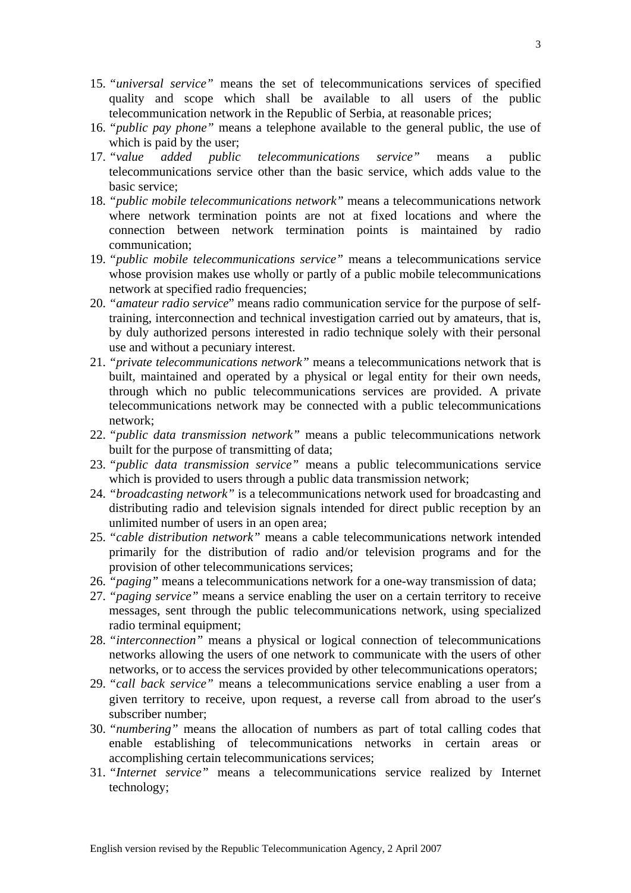- 15. *"universal service"* means the set of telecommunications services of specified quality and scope which shall be available to all users of the public telecommunication network in the Republic of Serbia, at reasonable prices;
- 16. *"public pay phone"* means a telephone available to the general public, the use of which is paid by the user;
- 17. *"value added public telecommunications service"* means a public telecommunications service other than the basic service, which adds value to the basic service;
- 18. *"public mobile telecommunications network"* means a telecommunications network where network termination points are not at fixed locations and where the connection between network termination points is maintained by radio communication;
- 19. *"public mobile telecommunications service"* means a telecommunications service whose provision makes use wholly or partly of a public mobile telecommunications network at specified radio frequencies;
- 20. *"amateur radio service*" means radio communication service for the purpose of selftraining, interconnection and technical investigation carried out by amateurs, that is, by duly authorized persons interested in radio technique solely with their personal use and without a pecuniary interest.
- 21. *"private telecommunications network"* means a telecommunications network that is built, maintained and operated by a physical or legal entity for their own needs, through which no public telecommunications services are provided. A private telecommunications network may be connected with a public telecommunications network;
- 22. *"public data transmission network"* means a public telecommunications network built for the purpose of transmitting of data;
- 23. *"public data transmission service"* means a public telecommunications service which is provided to users through a public data transmission network;
- 24. *"broadcasting network"* is a telecommunications network used for broadcasting and distributing radio and television signals intended for direct public reception by an unlimited number of users in an open area;
- 25. *"cable distribution network"* means a cable telecommunications network intended primarily for the distribution of radio and/or television programs and for the provision of other telecommunications services;
- 26. *"paging"* means a telecommunications network for a one-way transmission of data;
- 27. *"paging service"* means a service enabling the user on a certain territory to receive messages, sent through the public telecommunications network, using specialized radio terminal equipment;
- 28. *"interconnection"* means a physical or logical connection of telecommunications networks allowing the users of one network to communicate with the users of other networks, or to access the services provided by other telecommunications operators;
- 29. *"call back service"* means a telecommunications service enabling a user from a given territory to receive, upon request, a reverse call from abroad to the user′s subscriber number;
- 30. *"numbering"* means the allocation of numbers as part of total calling codes that enable establishing of telecommunications networks in certain areas or accomplishing certain telecommunications services;
- 31. *"Internet service"* means a telecommunications service realized by Internet technology;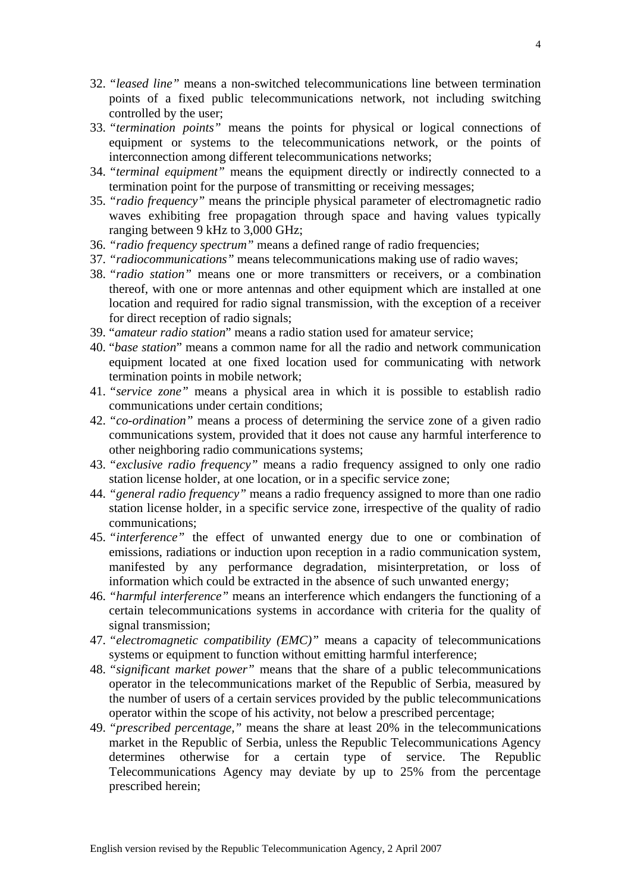- 32. *"leased line"* means a non-switched telecommunications line between termination points of a fixed public telecommunications network, not including switching controlled by the user;
- 33. *"termination points"* means the points for physical or logical connections of equipment or systems to the telecommunications network, or the points of interconnection among different telecommunications networks;
- 34. *"terminal equipment"* means the equipment directly or indirectly connected to a termination point for the purpose of transmitting or receiving messages;
- 35. *"radio frequency"* means the principle physical parameter of electromagnetic radio waves exhibiting free propagation through space and having values typically ranging between 9 kHz to 3,000 GHz;
- 36. *"radio frequency spectrum"* means a defined range of radio frequencies;
- 37. *"radiocommunications"* means telecommunications making use of radio waves;
- 38. *"radio station"* means one or more transmitters or receivers, or a combination thereof, with one or more antennas and other equipment which are installed at one location and required for radio signal transmission, with the exception of a receiver for direct reception of radio signals;
- 39. "*amateur radio station*" means a radio station used for amateur service;
- 40. "*base station*" means a common name for all the radio and network communication equipment located at one fixed location used for communicating with network termination points in mobile network;
- 41. *"service zone"* means a physical area in which it is possible to establish radio communications under certain conditions;
- 42. *"co-ordination"* means a process of determining the service zone of a given radio communications system, provided that it does not cause any harmful interference to other neighboring radio communications systems;
- 43. *"exclusive radio frequency"* means a radio frequency assigned to only one radio station license holder, at one location, or in a specific service zone;
- 44. *"general radio frequency"* means a radio frequency assigned to more than one radio station license holder, in a specific service zone, irrespective of the quality of radio communications;
- 45. *"interference"* the effect of unwanted energy due to one or combination of emissions, radiations or induction upon reception in a radio communication system, manifested by any performance degradation, misinterpretation, or loss of information which could be extracted in the absence of such unwanted energy;
- 46. *"harmful interference"* means an interference which endangers the functioning of a certain telecommunications systems in accordance with criteria for the quality of signal transmission;
- 47. *"electromagnetic compatibility (EMC)"* means a capacity of telecommunications systems or equipment to function without emitting harmful interference;
- 48. *"significant market power"* means that the share of a public telecommunications operator in the telecommunications market of the Republic of Serbia, measured by the number of users of a certain services provided by the public telecommunications operator within the scope of his activity, not below a prescribed percentage;
- 49. *"prescribed percentage,"* means the share at least 20% in the telecommunications market in the Republic of Serbia, unless the Republic Telecommunications Agency determines otherwise for a certain type of service. The Republic Telecommunications Agency may deviate by up to 25% from the percentage prescribed herein;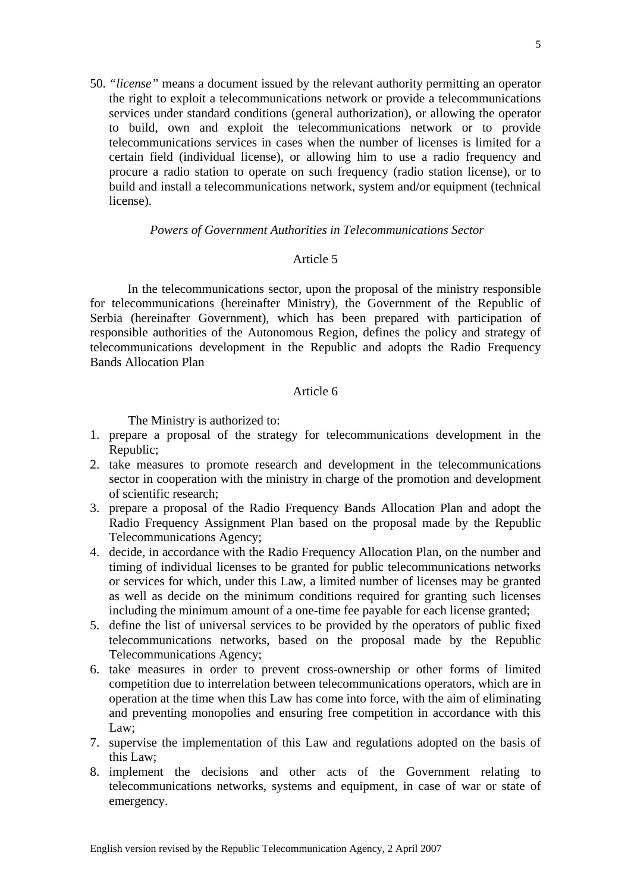50. *"license"* means a document issued by the relevant authority permitting an operator the right to exploit a telecommunications network or provide a telecommunications services under standard conditions (general authorization), or allowing the operator to build, own and exploit the telecommunications network or to provide telecommunications services in cases when the number of licenses is limited for a certain field (individual license), or allowing him to use a radio frequency and procure a radio station to operate on such frequency (radio station license), or to build and install a telecommunications network, system and/or equipment (technical license).

# *Powers of Government Authorities in Telecommunications Sector*

# Article 5

 In the telecommunications sector, upon the proposal of the ministry responsible for telecommunications (hereinafter Ministry), the Government of the Republic of Serbia (hereinafter Government), which has been prepared with participation of responsible authorities of the Autonomous Region, defines the policy and strategy of telecommunications development in the Republic and adopts the Radio Frequency Bands Allocation Plan

# Article 6

The Ministry is authorized to:

- 1. prepare a proposal of the strategy for telecommunications development in the Republic;
- 2. take measures to promote research and development in the telecommunications sector in cooperation with the ministry in charge of the promotion and development of scientific research;
- 3. prepare a proposal of the Radio Frequency Bands Allocation Plan and adopt the Radio Frequency Assignment Plan based on the proposal made by the Republic Telecommunications Agency;
- 4. decide, in accordance with the Radio Frequency Allocation Plan, on the number and timing of individual licenses to be granted for public telecommunications networks or services for which, under this Law, a limited number of licenses may be granted as well as decide on the minimum conditions required for granting such licenses including the minimum amount of a one-time fee payable for each license granted;
- 5. define the list of universal services to be provided by the operators of public fixed telecommunications networks, based on the proposal made by the Republic Telecommunications Agency;
- 6. take measures in order to prevent cross-ownership or other forms of limited competition due to interrelation between telecommunications operators, which are in operation at the time when this Law has come into force, with the aim of eliminating and preventing monopolies and ensuring free competition in accordance with this Law;
- 7. supervise the implementation of this Law and regulations adopted on the basis of this Law;
- 8. implement the decisions and other acts of the Government relating to telecommunications networks, systems and equipment, in case of war or state of emergency.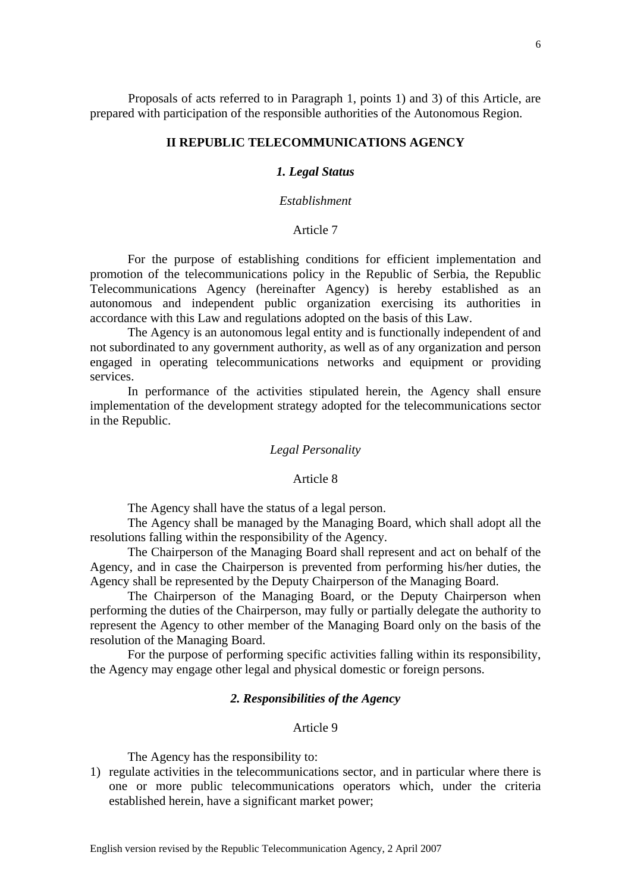# **II REPUBLIC TELECOMMUNICATIONS AGENCY**

## *1. Legal Status*

### *Establishment*

# Article 7

For the purpose of establishing conditions for efficient implementation and promotion of the telecommunications policy in the Republic of Serbia, the Republic Telecommunications Agency (hereinafter Agency) is hereby established as an autonomous and independent public organization exercising its authorities in accordance with this Law and regulations adopted on the basis of this Law.

The Agency is an autonomous legal entity and is functionally independent of and not subordinated to any government authority, as well as of any organization and person engaged in operating telecommunications networks and equipment or providing services.

In performance of the activities stipulated herein, the Agency shall ensure implementation of the development strategy adopted for the telecommunications sector in the Republic.

# *Legal Personality*

#### Article 8

The Agency shall have the status of a legal person.

 The Agency shall be managed by the Managing Board, which shall adopt all the resolutions falling within the responsibility of the Agency.

 The Chairperson of the Managing Board shall represent and act on behalf of the Agency, and in case the Chairperson is prevented from performing his/her duties, the Agency shall be represented by the Deputy Chairperson of the Managing Board.

 The Chairperson of the Managing Board, or the Deputy Chairperson when performing the duties of the Chairperson, may fully or partially delegate the authority to represent the Agency to other member of the Managing Board only on the basis of the resolution of the Managing Board.

 For the purpose of performing specific activities falling within its responsibility, the Agency may engage other legal and physical domestic or foreign persons.

#### *2. Responsibilities of the Agency*

# Article 9

The Agency has the responsibility to:

1) regulate activities in the telecommunications sector, and in particular where there is one or more public telecommunications operators which, under the criteria established herein, have a significant market power;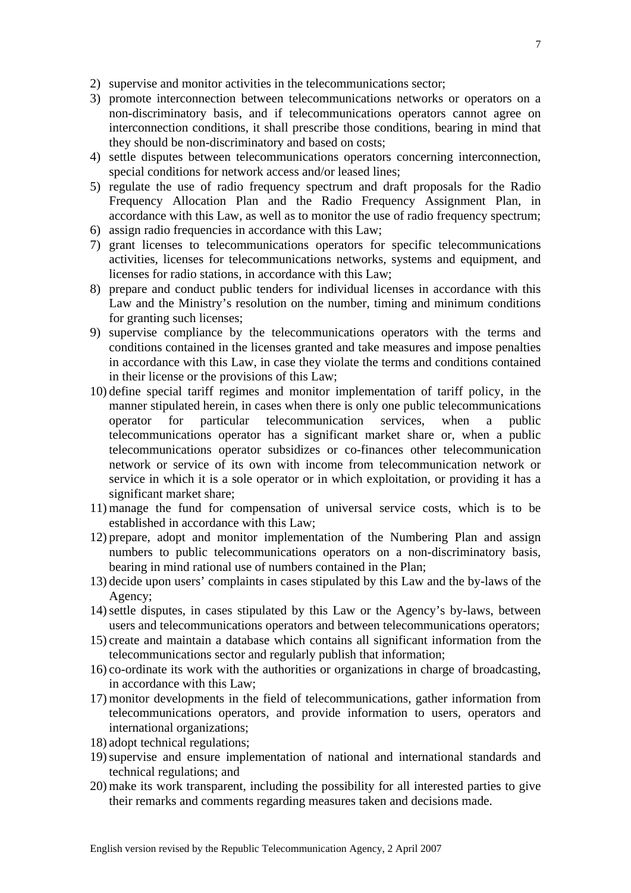- 2) supervise and monitor activities in the telecommunications sector;
- 3) promote interconnection between telecommunications networks or operators on a non-discriminatory basis, and if telecommunications operators cannot agree on interconnection conditions, it shall prescribe those conditions, bearing in mind that they should be non-discriminatory and based on costs;
- 4) settle disputes between telecommunications operators concerning interconnection, special conditions for network access and/or leased lines;
- 5) regulate the use of radio frequency spectrum and draft proposals for the Radio Frequency Allocation Plan and the Radio Frequency Assignment Plan, in accordance with this Law, as well as to monitor the use of radio frequency spectrum;
- 6) assign radio frequencies in accordance with this Law;
- 7) grant licenses to telecommunications operators for specific telecommunications activities, licenses for telecommunications networks, systems and equipment, and licenses for radio stations, in accordance with this Law;
- 8) prepare and conduct public tenders for individual licenses in accordance with this Law and the Ministry's resolution on the number, timing and minimum conditions for granting such licenses;
- 9) supervise compliance by the telecommunications operators with the terms and conditions contained in the licenses granted and take measures and impose penalties in accordance with this Law, in case they violate the terms and conditions contained in their license or the provisions of this Law;
- 10) define special tariff regimes and monitor implementation of tariff policy, in the manner stipulated herein, in cases when there is only one public telecommunications operator for particular telecommunication services, when a public telecommunications operator has a significant market share or, when a public telecommunications operator subsidizes or co-finances other telecommunication network or service of its own with income from telecommunication network or service in which it is a sole operator or in which exploitation, or providing it has a significant market share;
- 11) manage the fund for compensation of universal service costs, which is to be established in accordance with this Law;
- 12) prepare, adopt and monitor implementation of the Numbering Plan and assign numbers to public telecommunications operators on a non-discriminatory basis, bearing in mind rational use of numbers contained in the Plan;
- 13) decide upon users' complaints in cases stipulated by this Law and the by-laws of the Agency;
- 14)settle disputes, in cases stipulated by this Law or the Agency's by-laws, between users and telecommunications operators and between telecommunications operators;
- 15) create and maintain a database which contains all significant information from the telecommunications sector and regularly publish that information;
- 16) co-ordinate its work with the authorities or organizations in charge of broadcasting, in accordance with this Law;
- 17) monitor developments in the field of telecommunications, gather information from telecommunications operators, and provide information to users, operators and international organizations;
- 18) adopt technical regulations;
- 19)supervise and ensure implementation of national and international standards and technical regulations; and
- 20) make its work transparent, including the possibility for all interested parties to give their remarks and comments regarding measures taken and decisions made.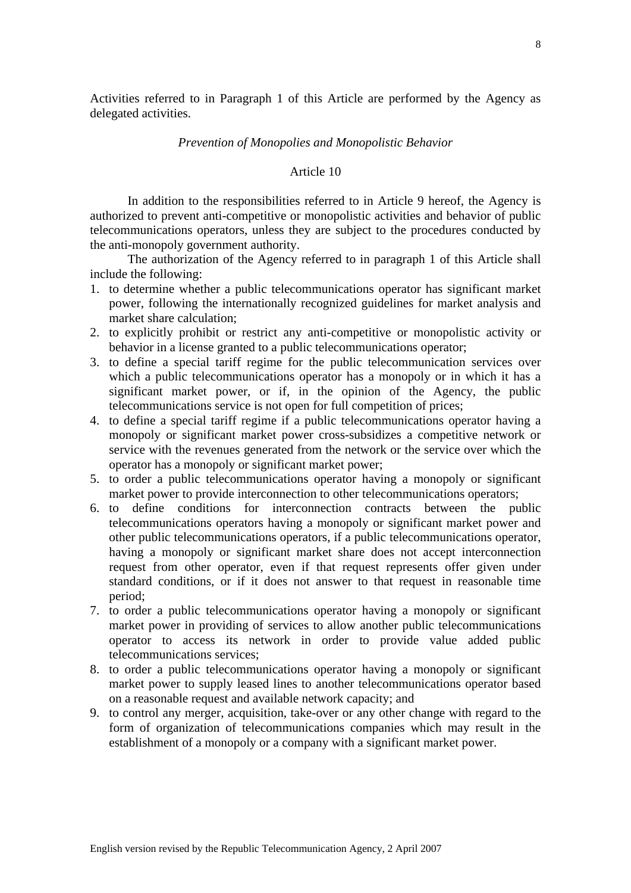Activities referred to in Paragraph 1 of this Article are performed by the Agency as delegated activities.

# *Prevention of Monopolies and Monopolistic Behavior*

# Article 10

 In addition to the responsibilities referred to in Article 9 hereof, the Agency is authorized to prevent anti-competitive or monopolistic activities and behavior of public telecommunications operators, unless they are subject to the procedures conducted by the anti-monopoly government authority.

 The authorization of the Agency referred to in paragraph 1 of this Article shall include the following:

- 1. to determine whether a public telecommunications operator has significant market power, following the internationally recognized guidelines for market analysis and market share calculation;
- 2. to explicitly prohibit or restrict any anti-competitive or monopolistic activity or behavior in a license granted to a public telecommunications operator;
- 3. to define a special tariff regime for the public telecommunication services over which a public telecommunications operator has a monopoly or in which it has a significant market power, or if, in the opinion of the Agency, the public telecommunications service is not open for full competition of prices;
- 4. to define a special tariff regime if a public telecommunications operator having a monopoly or significant market power cross-subsidizes a competitive network or service with the revenues generated from the network or the service over which the operator has a monopoly or significant market power;
- 5. to order a public telecommunications operator having a monopoly or significant market power to provide interconnection to other telecommunications operators;
- 6. to define conditions for interconnection contracts between the public telecommunications operators having a monopoly or significant market power and other public telecommunications operators, if a public telecommunications operator, having a monopoly or significant market share does not accept interconnection request from other operator, even if that request represents offer given under standard conditions, or if it does not answer to that request in reasonable time period;
- 7. to order a public telecommunications operator having a monopoly or significant market power in providing of services to allow another public telecommunications operator to access its network in order to provide value added public telecommunications services;
- 8. to order a public telecommunications operator having a monopoly or significant market power to supply leased lines to another telecommunications operator based on a reasonable request and available network capacity; and
- 9. to control any merger, acquisition, take-over or any other change with regard to the form of organization of telecommunications companies which may result in the establishment of a monopoly or a company with a significant market power.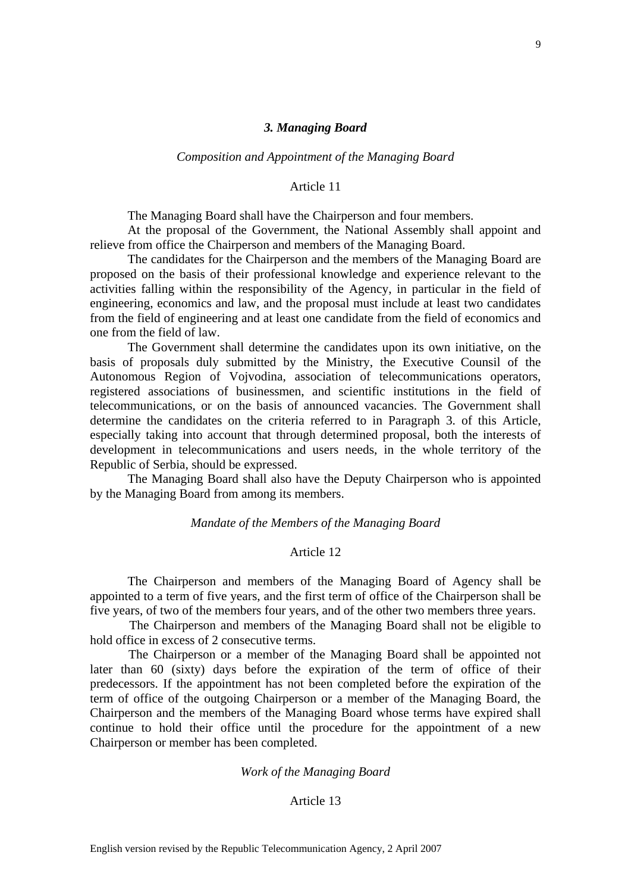# *3. Managing Board*

### *Composition and Appointment of the Managing Board*

### Article 11

The Managing Board shall have the Chairperson and four members.

At the proposal of the Government, the National Assembly shall appoint and relieve from office the Chairperson and members of the Managing Board.

The candidates for the Chairperson and the members of the Managing Board are proposed on the basis of their professional knowledge and experience relevant to the activities falling within the responsibility of the Agency, in particular in the field of engineering, economics and law, and the proposal must include at least two candidates from the field of engineering and at least one candidate from the field of economics and one from the field of law.

The Government shall determine the candidates upon its own initiative, on the basis of proposals duly submitted by the Ministry, the Executive Counsil of the Autonomous Region of Vojvodina, association of telecommunications operators, registered associations of businessmen, and scientific institutions in the field of telecommunications, or on the basis of announced vacancies. The Government shall determine the candidates on the criteria referred to in Paragraph 3. of this Article, especially taking into account that through determined proposal, both the interests of development in telecommunications and users needs, in the whole territory of the Republic of Serbia, should be expressed.

The Managing Board shall also have the Deputy Chairperson who is appointed by the Managing Board from among its members.

*Mandate of the Members of the Managing Board* 

# Article 12

The Chairperson and members of the Managing Board of Agency shall be appointed to a term of five years, and the first term of office of the Chairperson shall be five years, of two of the members four years, and of the other two members three years.

 The Chairperson and members of the Managing Board shall not be eligible to hold office in excess of 2 consecutive terms.

 The Chairperson or a member of the Managing Board shall be appointed not later than 60 (sixty) days before the expiration of the term of office of their predecessors. If the appointment has not been completed before the expiration of the term of office of the outgoing Chairperson or a member of the Managing Board, the Chairperson and the members of the Managing Board whose terms have expired shall continue to hold their office until the procedure for the appointment of a new Chairperson or member has been completed.

### *Work of the Managing Board*

# Article 13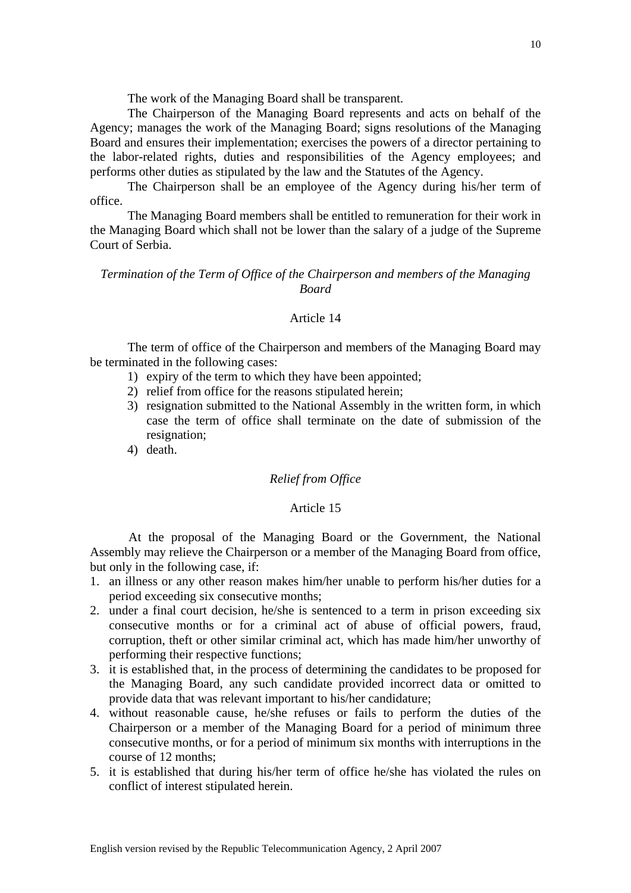The work of the Managing Board shall be transparent.

 The Chairperson of the Managing Board represents and acts on behalf of the Agency; manages the work of the Managing Board; signs resolutions of the Managing Board and ensures their implementation; exercises the powers of a director pertaining to the labor-related rights, duties and responsibilities of the Agency employees; and performs other duties as stipulated by the law and the Statutes of the Agency.

 The Chairperson shall be an employee of the Agency during his/her term of office.

 The Managing Board members shall be entitled to remuneration for their work in the Managing Board which shall not be lower than the salary of a judge of the Supreme Court of Serbia.

# *Termination of the Term of Office of the Chairperson and members of the Managing Board*

### Article 14

 The term of office of the Chairperson and members of the Managing Board may be terminated in the following cases:

- 1) expiry of the term to which they have been appointed;
- 2) relief from office for the reasons stipulated herein;
- 3) resignation submitted to the National Assembly in the written form, in which case the term of office shall terminate on the date of submission of the resignation;
- 4) death.

# *Relief from Office*

#### Article 15

 At the proposal of the Managing Board or the Government, the National Assembly may relieve the Chairperson or a member of the Managing Board from office, but only in the following case, if:

- 1. an illness or any other reason makes him/her unable to perform his/her duties for a period exceeding six consecutive months;
- 2. under a final court decision, he/she is sentenced to a term in prison exceeding six consecutive months or for a criminal act of abuse of official powers, fraud, corruption, theft or other similar criminal act, which has made him/her unworthy of performing their respective functions;
- 3. it is established that, in the process of determining the candidates to be proposed for the Managing Board, any such candidate provided incorrect data or omitted to provide data that was relevant important to his/her candidature;
- 4. without reasonable cause, he/she refuses or fails to perform the duties of the Chairperson or a member of the Managing Board for a period of minimum three consecutive months, or for a period of minimum six months with interruptions in the course of 12 months;
- 5. it is established that during his/her term of office he/she has violated the rules on conflict of interest stipulated herein.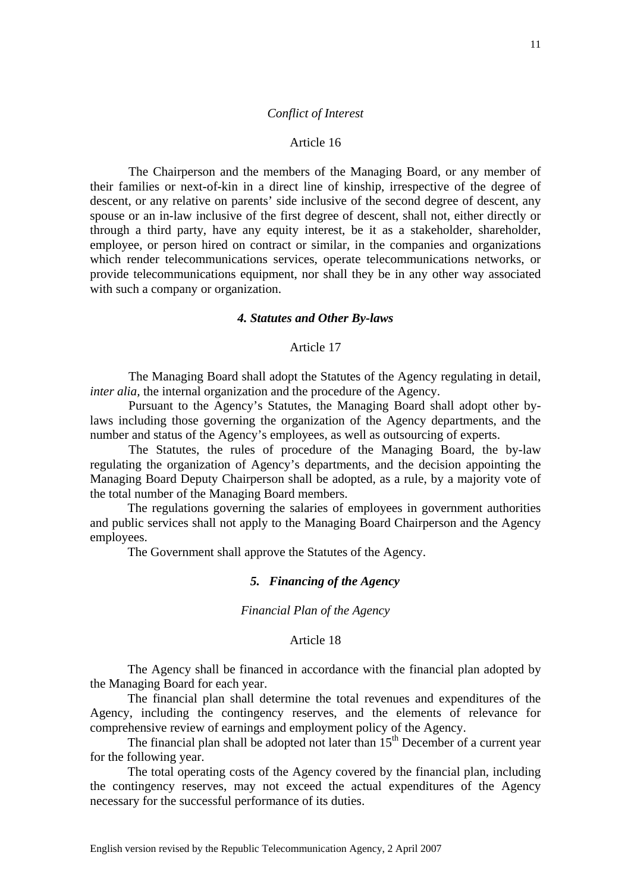## *Conflict of Interest*

#### Article 16

 The Chairperson and the members of the Managing Board, or any member of their families or next-of-kin in a direct line of kinship, irrespective of the degree of descent, or any relative on parents' side inclusive of the second degree of descent, any spouse or an in-law inclusive of the first degree of descent, shall not, either directly or through a third party, have any equity interest, be it as a stakeholder, shareholder, employee, or person hired on contract or similar, in the companies and organizations which render telecommunications services, operate telecommunications networks, or provide telecommunications equipment, nor shall they be in any other way associated with such a company or organization.

# *4. Statutes and Other By-laws*

# Article 17

 The Managing Board shall adopt the Statutes of the Agency regulating in detail, *inter alia,* the internal organization and the procedure of the Agency.

 Pursuant to the Agency's Statutes, the Managing Board shall adopt other bylaws including those governing the organization of the Agency departments, and the number and status of the Agency's employees, as well as outsourcing of experts.

 The Statutes, the rules of procedure of the Managing Board, the by-law regulating the organization of Agency's departments, and the decision appointing the Managing Board Deputy Chairperson shall be adopted, as a rule, by a majority vote of the total number of the Managing Board members.

 The regulations governing the salaries of employees in government authorities and public services shall not apply to the Managing Board Chairperson and the Agency employees.

The Government shall approve the Statutes of the Agency.

# *5. Financing of the Agency*

*Financial Plan of the Agency* 

## Article 18

 The Agency shall be financed in accordance with the financial plan adopted by the Managing Board for each year.

 The financial plan shall determine the total revenues and expenditures of the Agency, including the contingency reserves, and the elements of relevance for comprehensive review of earnings and employment policy of the Agency.

The financial plan shall be adopted not later than  $15<sup>th</sup>$  December of a current year for the following year.

 The total operating costs of the Agency covered by the financial plan, including the contingency reserves, may not exceed the actual expenditures of the Agency necessary for the successful performance of its duties.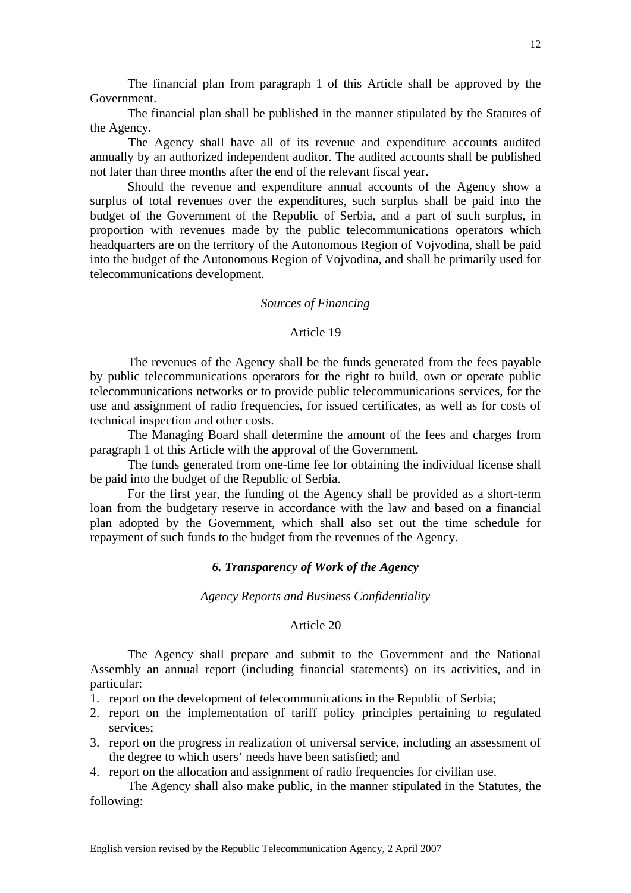The financial plan from paragraph 1 of this Article shall be approved by the Government.

 The financial plan shall be published in the manner stipulated by the Statutes of the Agency.

 The Agency shall have all of its revenue and expenditure accounts audited annually by an authorized independent auditor. The audited accounts shall be published not later than three months after the end of the relevant fiscal year.

 Should the revenue and expenditure annual accounts of the Agency show a surplus of total revenues over the expenditures, such surplus shall be paid into the budget of the Government of the Republic of Serbia, and a part of such surplus, in proportion with revenues made by the public telecommunications operators which headquarters are on the territory of the Autonomous Region of Vojvodina, shall be paid into the budget of the Autonomous Region of Vojvodina, and shall be primarily used for telecommunications development.

#### *Sources of Financing*

#### Article 19

 The revenues of the Agency shall be the funds generated from the fees payable by public telecommunications operators for the right to build, own or operate public telecommunications networks or to provide public telecommunications services, for the use and assignment of radio frequencies, for issued certificates, as well as for costs of technical inspection and other costs.

 The Managing Board shall determine the amount of the fees and charges from paragraph 1 of this Article with the approval of the Government.

The funds generated from one-time fee for obtaining the individual license shall be paid into the budget of the Republic of Serbia.

 For the first year, the funding of the Agency shall be provided as a short-term loan from the budgetary reserve in accordance with the law and based on a financial plan adopted by the Government, which shall also set out the time schedule for repayment of such funds to the budget from the revenues of the Agency.

# *6. Transparency of Work of the Agency*

### *Agency Reports and Business Confidentiality*

#### Article 20

The Agency shall prepare and submit to the Government and the National Assembly an annual report (including financial statements) on its activities, and in particular:

- 1. report on the development of telecommunications in the Republic of Serbia;
- 2. report on the implementation of tariff policy principles pertaining to regulated services;
- 3. report on the progress in realization of universal service, including an assessment of the degree to which users' needs have been satisfied; and
- 4. report on the allocation and assignment of radio frequencies for civilian use.

 The Agency shall also make public, in the manner stipulated in the Statutes, the following: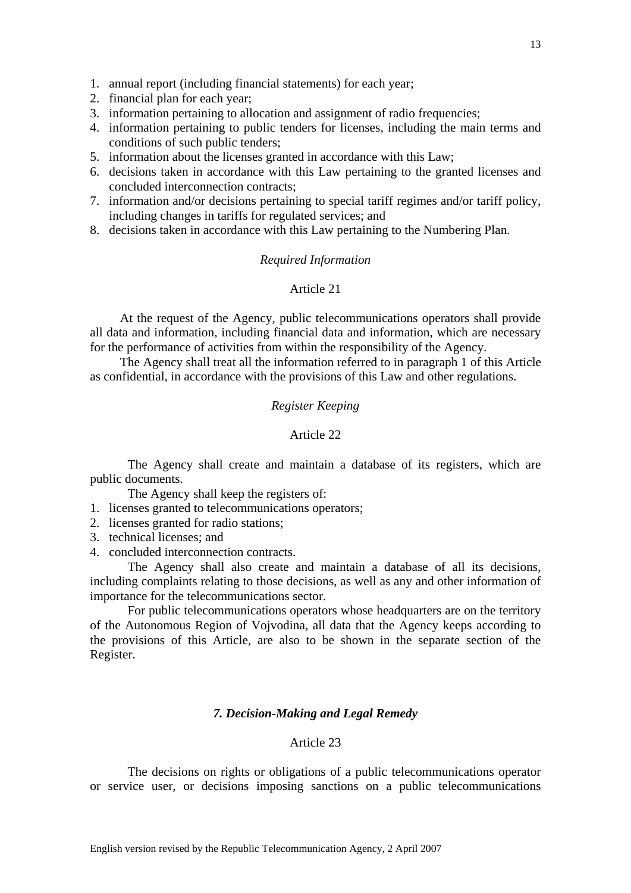- 1. annual report (including financial statements) for each year;
- 2. financial plan for each year;
- 3. information pertaining to allocation and assignment of radio frequencies;
- 4. information pertaining to public tenders for licenses, including the main terms and conditions of such public tenders;
- 5. information about the licenses granted in accordance with this Law;
- 6. decisions taken in accordance with this Law pertaining to the granted licenses and concluded interconnection contracts;
- 7. information and/or decisions pertaining to special tariff regimes and/or tariff policy, including changes in tariffs for regulated services; and
- 8. decisions taken in accordance with this Law pertaining to the Numbering Plan.

# *Required Information*

# Article 21

 At the request of the Agency, public telecommunications operators shall provide all data and information, including financial data and information, which are necessary for the performance of activities from within the responsibility of the Agency.

 The Agency shall treat all the information referred to in paragraph 1 of this Article as confidential, in accordance with the provisions of this Law and other regulations.

# *Register Keeping*

# Article 22

The Agency shall create and maintain a database of its registers, which are public documents.

The Agency shall keep the registers of:

- 1. licenses granted to telecommunications operators;
- 2. licenses granted for radio stations;
- 3. technical licenses; and
- 4. concluded interconnection contracts.

The Agency shall also create and maintain a database of all its decisions, including complaints relating to those decisions, as well as any and other information of importance for the telecommunications sector.

For public telecommunications operators whose headquarters are on the territory of the Autonomous Region of Vojvodina, all data that the Agency keeps according to the provisions of this Article, are also to be shown in the separate section of the Register.

# *7. Decision-Making and Legal Remedy*

# Article 23

 The decisions on rights or obligations of a public telecommunications operator or service user, or decisions imposing sanctions on a public telecommunications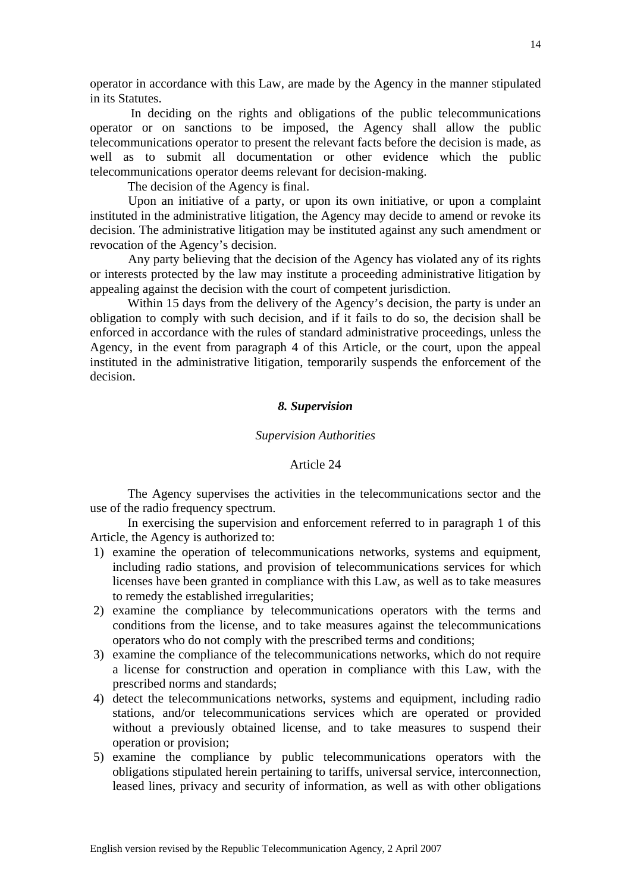operator in accordance with this Law, are made by the Agency in the manner stipulated in its Statutes.

 In deciding on the rights and obligations of the public telecommunications operator or on sanctions to be imposed, the Agency shall allow the public telecommunications operator to present the relevant facts before the decision is made, as well as to submit all documentation or other evidence which the public telecommunications operator deems relevant for decision-making.

The decision of the Agency is final.

 Upon an initiative of a party, or upon its own initiative, or upon a complaint instituted in the administrative litigation, the Agency may decide to amend or revoke its decision. The administrative litigation may be instituted against any such amendment or revocation of the Agency's decision.

 Any party believing that the decision of the Agency has violated any of its rights or interests protected by the law may institute a proceeding administrative litigation by appealing against the decision with the court of competent jurisdiction.

 Within 15 days from the delivery of the Agency's decision, the party is under an obligation to comply with such decision, and if it fails to do so, the decision shall be enforced in accordance with the rules of standard administrative proceedings, unless the Agency, in the event from paragraph 4 of this Article, or the court, upon the appeal instituted in the administrative litigation, temporarily suspends the enforcement of the decision.

# *8. Supervision*

### *Supervision Authorities*

## Article 24

The Agency supervises the activities in the telecommunications sector and the use of the radio frequency spectrum.

 In exercising the supervision and enforcement referred to in paragraph 1 of this Article, the Agency is authorized to:

- 1) examine the operation of telecommunications networks, systems and equipment, including radio stations, and provision of telecommunications services for which licenses have been granted in compliance with this Law, as well as to take measures to remedy the established irregularities;
- 2) examine the compliance by telecommunications operators with the terms and conditions from the license, and to take measures against the telecommunications operators who do not comply with the prescribed terms and conditions;
- 3) examine the compliance of the telecommunications networks, which do not require a license for construction and operation in compliance with this Law, with the prescribed norms and standards;
- 4) detect the telecommunications networks, systems and equipment, including radio stations, and/or telecommunications services which are operated or provided without a previously obtained license, and to take measures to suspend their operation or provision;
- 5) examine the compliance by public telecommunications operators with the obligations stipulated herein pertaining to tariffs, universal service, interconnection, leased lines, privacy and security of information, as well as with other obligations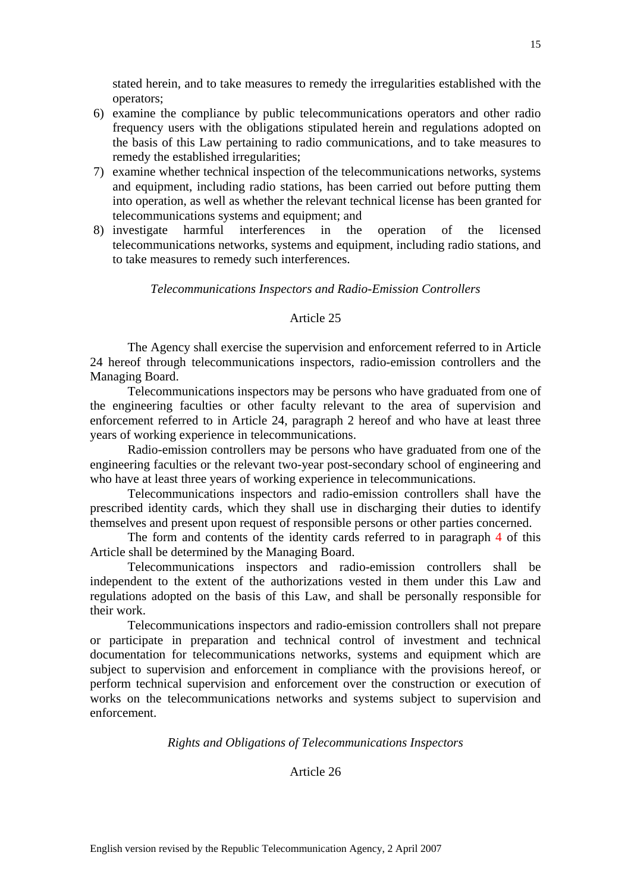stated herein, and to take measures to remedy the irregularities established with the operators;

- 6) examine the compliance by public telecommunications operators and other radio frequency users with the obligations stipulated herein and regulations adopted on the basis of this Law pertaining to radio communications, and to take measures to remedy the established irregularities;
- 7) examine whether technical inspection of the telecommunications networks, systems and equipment, including radio stations, has been carried out before putting them into operation, as well as whether the relevant technical license has been granted for telecommunications systems and equipment; and
- 8) investigate harmful interferences in the operation of the licensed telecommunications networks, systems and equipment, including radio stations, and to take measures to remedy such interferences.

*Telecommunications Inspectors and Radio-Emission Controllers* 

# Article 25

 The Agency shall exercise the supervision and enforcement referred to in Article 24 hereof through telecommunications inspectors, radio-emission controllers and the Managing Board.

 Telecommunications inspectors may be persons who have graduated from one of the engineering faculties or other faculty relevant to the area of supervision and enforcement referred to in Article 24, paragraph 2 hereof and who have at least three years of working experience in telecommunications.

 Radio-emission controllers may be persons who have graduated from one of the engineering faculties or the relevant two-year post-secondary school of engineering and who have at least three years of working experience in telecommunications.

 Telecommunications inspectors and radio-emission controllers shall have the prescribed identity cards, which they shall use in discharging their duties to identify themselves and present upon request of responsible persons or other parties concerned.

 The form and contents of the identity cards referred to in paragraph 4 of this Article shall be determined by the Managing Board.

 Telecommunications inspectors and radio-emission controllers shall be independent to the extent of the authorizations vested in them under this Law and regulations adopted on the basis of this Law, and shall be personally responsible for their work.

 Telecommunications inspectors and radio-emission controllers shall not prepare or participate in preparation and technical control of investment and technical documentation for telecommunications networks, systems and equipment which are subject to supervision and enforcement in compliance with the provisions hereof, or perform technical supervision and enforcement over the construction or execution of works on the telecommunications networks and systems subject to supervision and enforcement.

### *Rights and Obligations of Telecommunications Inspectors*

# Article 26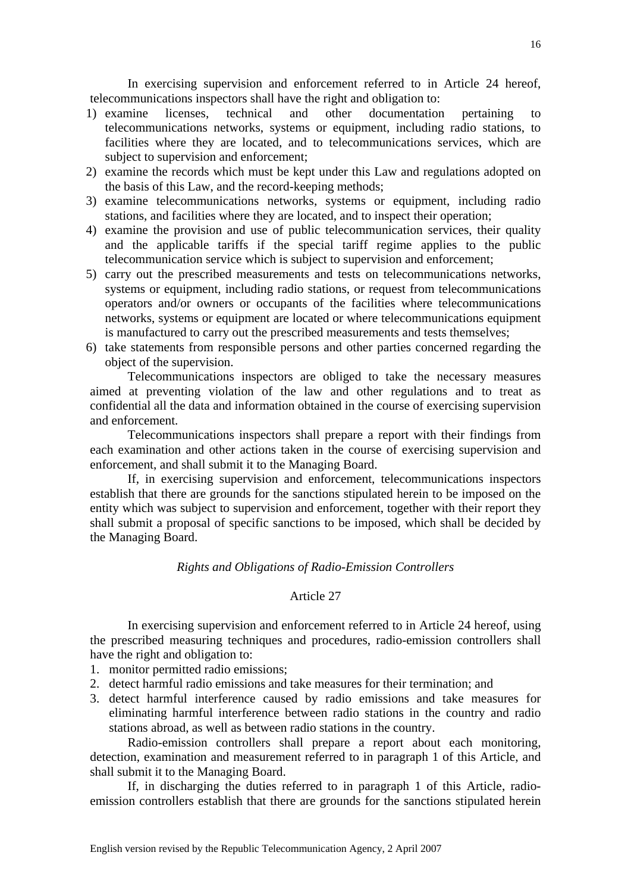In exercising supervision and enforcement referred to in Article 24 hereof, telecommunications inspectors shall have the right and obligation to:

- 1) examine licenses, technical and other documentation pertaining to telecommunications networks, systems or equipment, including radio stations, to facilities where they are located, and to telecommunications services, which are subject to supervision and enforcement;
- 2) examine the records which must be kept under this Law and regulations adopted on the basis of this Law, and the record-keeping methods;
- 3) examine telecommunications networks, systems or equipment, including radio stations, and facilities where they are located, and to inspect their operation;
- 4) examine the provision and use of public telecommunication services, their quality and the applicable tariffs if the special tariff regime applies to the public telecommunication service which is subject to supervision and enforcement;
- 5) carry out the prescribed measurements and tests on telecommunications networks, systems or equipment, including radio stations, or request from telecommunications operators and/or owners or occupants of the facilities where telecommunications networks, systems or equipment are located or where telecommunications equipment is manufactured to carry out the prescribed measurements and tests themselves;
- 6) take statements from responsible persons and other parties concerned regarding the object of the supervision.

Telecommunications inspectors are obliged to take the necessary measures aimed at preventing violation of the law and other regulations and to treat as confidential all the data and information obtained in the course of exercising supervision and enforcement.

 Telecommunications inspectors shall prepare a report with their findings from each examination and other actions taken in the course of exercising supervision and enforcement, and shall submit it to the Managing Board.

 If, in exercising supervision and enforcement, telecommunications inspectors establish that there are grounds for the sanctions stipulated herein to be imposed on the entity which was subject to supervision and enforcement, together with their report they shall submit a proposal of specific sanctions to be imposed, which shall be decided by the Managing Board.

# *Rights and Obligations of Radio-Emission Controllers*

# Article 27

 In exercising supervision and enforcement referred to in Article 24 hereof, using the prescribed measuring techniques and procedures, radio-emission controllers shall have the right and obligation to:

- 1. monitor permitted radio emissions;
- 2. detect harmful radio emissions and take measures for their termination; and
- 3. detect harmful interference caused by radio emissions and take measures for eliminating harmful interference between radio stations in the country and radio stations abroad, as well as between radio stations in the country.

 Radio-emission controllers shall prepare a report about each monitoring, detection, examination and measurement referred to in paragraph 1 of this Article, and shall submit it to the Managing Board.

 If, in discharging the duties referred to in paragraph 1 of this Article, radioemission controllers establish that there are grounds for the sanctions stipulated herein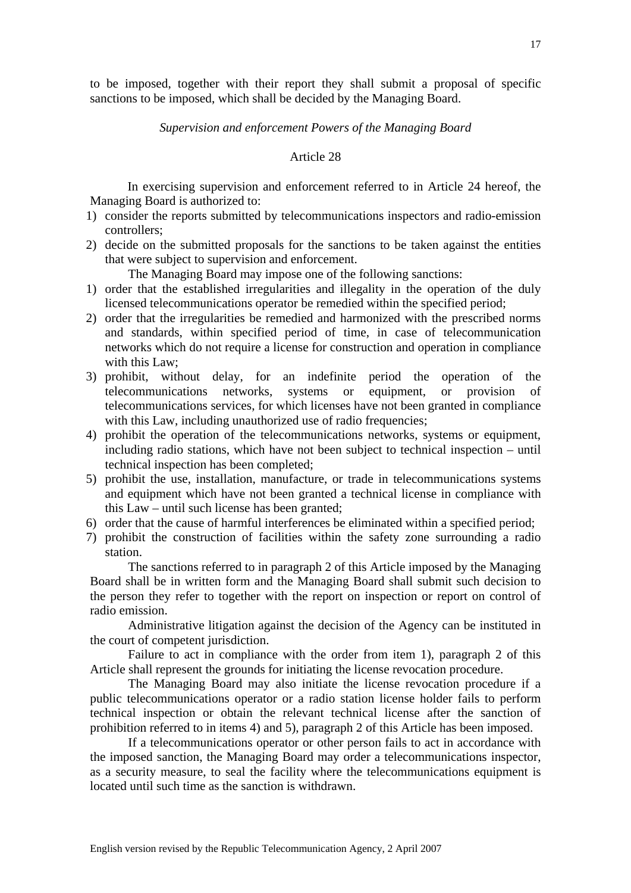to be imposed, together with their report they shall submit a proposal of specific sanctions to be imposed, which shall be decided by the Managing Board.

# *Supervision and enforcement Powers of the Managing Board*

#### Article 28

 In exercising supervision and enforcement referred to in Article 24 hereof, the Managing Board is authorized to:

- 1) consider the reports submitted by telecommunications inspectors and radio-emission controllers;
- 2) decide on the submitted proposals for the sanctions to be taken against the entities that were subject to supervision and enforcement.

The Managing Board may impose one of the following sanctions:

- 1) order that the established irregularities and illegality in the operation of the duly licensed telecommunications operator be remedied within the specified period;
- 2) order that the irregularities be remedied and harmonized with the prescribed norms and standards, within specified period of time, in case of telecommunication networks which do not require a license for construction and operation in compliance with this Law:
- 3) prohibit, without delay, for an indefinite period the operation of the telecommunications networks, systems or equipment, or provision of telecommunications services, for which licenses have not been granted in compliance with this Law, including unauthorized use of radio frequencies;
- 4) prohibit the operation of the telecommunications networks, systems or equipment, including radio stations, which have not been subject to technical inspection – until technical inspection has been completed;
- 5) prohibit the use, installation, manufacture, or trade in telecommunications systems and equipment which have not been granted a technical license in compliance with this Law – until such license has been granted;
- 6) order that the cause of harmful interferences be eliminated within a specified period;
- 7) prohibit the construction of facilities within the safety zone surrounding a radio station.

The sanctions referred to in paragraph 2 of this Article imposed by the Managing Board shall be in written form and the Managing Board shall submit such decision to the person they refer to together with the report on inspection or report on control of radio emission.

Administrative litigation against the decision of the Agency can be instituted in the court of competent jurisdiction.

Failure to act in compliance with the order from item 1), paragraph 2 of this Article shall represent the grounds for initiating the license revocation procedure.

The Managing Board may also initiate the license revocation procedure if a public telecommunications operator or a radio station license holder fails to perform technical inspection or obtain the relevant technical license after the sanction of prohibition referred to in items 4) and 5), paragraph 2 of this Article has been imposed.

If a telecommunications operator or other person fails to act in accordance with the imposed sanction, the Managing Board may order a telecommunications inspector, as a security measure, to seal the facility where the telecommunications equipment is located until such time as the sanction is withdrawn.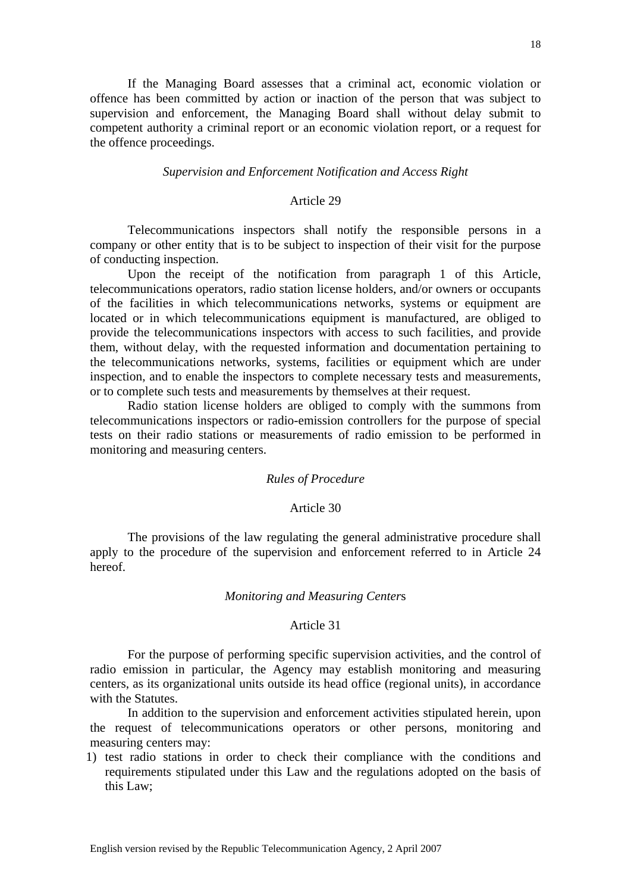If the Managing Board assesses that a criminal act, economic violation or offence has been committed by action or inaction of the person that was subject to supervision and enforcement, the Managing Board shall without delay submit to competent authority a criminal report or an economic violation report, or a request for the offence proceedings.

# *Supervision and Enforcement Notification and Access Right*

### Article 29

 Telecommunications inspectors shall notify the responsible persons in a company or other entity that is to be subject to inspection of their visit for the purpose of conducting inspection.

 Upon the receipt of the notification from paragraph 1 of this Article, telecommunications operators, radio station license holders, and/or owners or occupants of the facilities in which telecommunications networks, systems or equipment are located or in which telecommunications equipment is manufactured, are obliged to provide the telecommunications inspectors with access to such facilities, and provide them, without delay, with the requested information and documentation pertaining to the telecommunications networks, systems, facilities or equipment which are under inspection, and to enable the inspectors to complete necessary tests and measurements, or to complete such tests and measurements by themselves at their request.

 Radio station license holders are obliged to comply with the summons from telecommunications inspectors or radio-emission controllers for the purpose of special tests on their radio stations or measurements of radio emission to be performed in monitoring and measuring centers.

#### *Rules of Procedure*

# Article 30

 The provisions of the law regulating the general administrative procedure shall apply to the procedure of the supervision and enforcement referred to in Article 24 hereof.

### *Monitoring and Measuring Center*s

### Article 31

 For the purpose of performing specific supervision activities, and the control of radio emission in particular, the Agency may establish monitoring and measuring centers, as its organizational units outside its head office (regional units), in accordance with the Statutes.

 In addition to the supervision and enforcement activities stipulated herein, upon the request of telecommunications operators or other persons, monitoring and measuring centers may:

1) test radio stations in order to check their compliance with the conditions and requirements stipulated under this Law and the regulations adopted on the basis of this Law;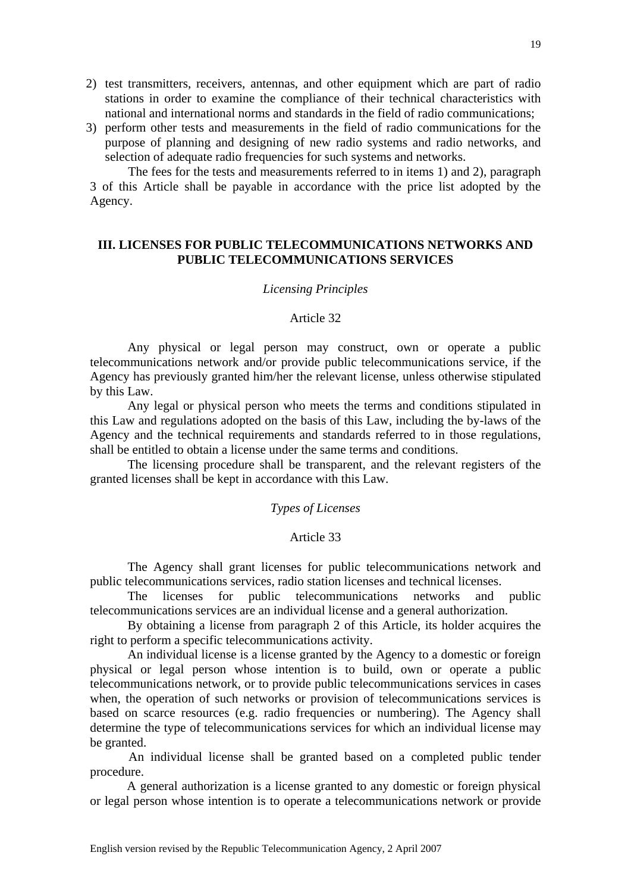- 2) test transmitters, receivers, antennas, and other equipment which are part of radio stations in order to examine the compliance of their technical characteristics with national and international norms and standards in the field of radio communications;
- 3) perform other tests and measurements in the field of radio communications for the purpose of planning and designing of new radio systems and radio networks, and selection of adequate radio frequencies for such systems and networks.

The fees for the tests and measurements referred to in items 1) and 2), paragraph 3 of this Article shall be payable in accordance with the price list adopted by the Agency.

# **III. LICENSES FOR PUBLIC TELECOMMUNICATIONS NETWORKS AND PUBLIC TELECOMMUNICATIONS SERVICES**

### *Licensing Principles*

### Article 32

 Any physical or legal person may construct, own or operate a public telecommunications network and/or provide public telecommunications service, if the Agency has previously granted him/her the relevant license, unless otherwise stipulated by this Law.

 Any legal or physical person who meets the terms and conditions stipulated in this Law and regulations adopted on the basis of this Law, including the by-laws of the Agency and the technical requirements and standards referred to in those regulations, shall be entitled to obtain a license under the same terms and conditions.

 The licensing procedure shall be transparent, and the relevant registers of the granted licenses shall be kept in accordance with this Law.

# *Types of Licenses*

# Article 33

 The Agency shall grant licenses for public telecommunications network and public telecommunications services, radio station licenses and technical licenses.

 The licenses for public telecommunications networks and public telecommunications services are an individual license and a general authorization.

 By obtaining a license from paragraph 2 of this Article, its holder acquires the right to perform a specific telecommunications activity.

 An individual license is a license granted by the Agency to a domestic or foreign physical or legal person whose intention is to build, own or operate a public telecommunications network, or to provide public telecommunications services in cases when, the operation of such networks or provision of telecommunications services is based on scarce resources (e.g. radio frequencies or numbering). The Agency shall determine the type of telecommunications services for which an individual license may be granted.

 An individual license shall be granted based on a completed public tender procedure.

 A general authorization is a license granted to any domestic or foreign physical or legal person whose intention is to operate a telecommunications network or provide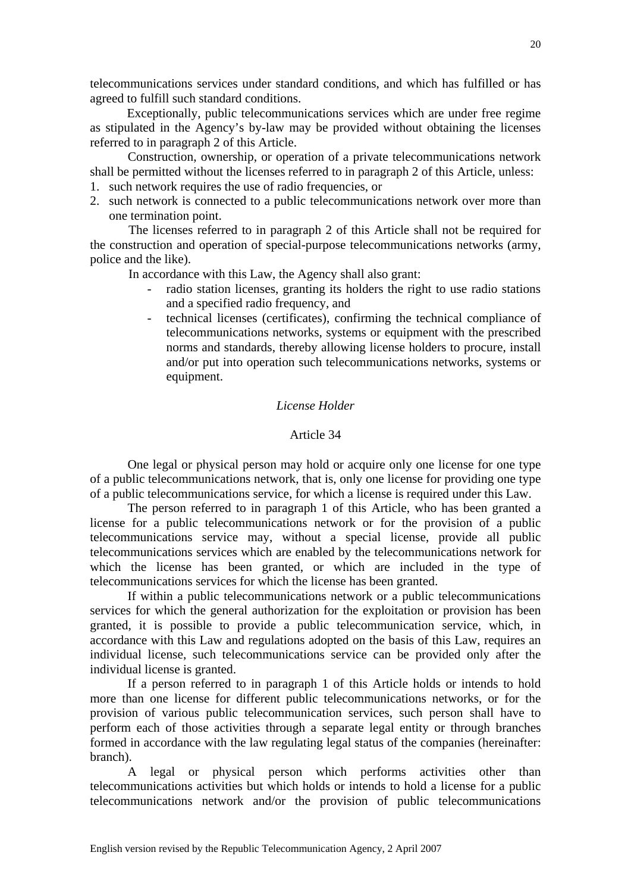telecommunications services under standard conditions, and which has fulfilled or has agreed to fulfill such standard conditions.

 Exceptionally, public telecommunications services which are under free regime as stipulated in the Agency's by-law may be provided without obtaining the licenses referred to in paragraph 2 of this Article.

 Construction, ownership, or operation of a private telecommunications network shall be permitted without the licenses referred to in paragraph 2 of this Article, unless:

- 1. such network requires the use of radio frequencies, or
- 2. such network is connected to a public telecommunications network over more than one termination point.

 The licenses referred to in paragraph 2 of this Article shall not be required for the construction and operation of special-purpose telecommunications networks (army, police and the like).

In accordance with this Law, the Agency shall also grant:

- radio station licenses, granting its holders the right to use radio stations and a specified radio frequency, and
- technical licenses (certificates), confirming the technical compliance of telecommunications networks, systems or equipment with the prescribed norms and standards, thereby allowing license holders to procure, install and/or put into operation such telecommunications networks, systems or equipment.

# *License Holder*

# Article 34

 One legal or physical person may hold or acquire only one license for one type of a public telecommunications network, that is, only one license for providing one type of a public telecommunications service, for which a license is required under this Law.

 The person referred to in paragraph 1 of this Article, who has been granted a license for a public telecommunications network or for the provision of a public telecommunications service may, without a special license, provide all public telecommunications services which are enabled by the telecommunications network for which the license has been granted, or which are included in the type of telecommunications services for which the license has been granted.

 If within a public telecommunications network or a public telecommunications services for which the general authorization for the exploitation or provision has been granted, it is possible to provide a public telecommunication service, which, in accordance with this Law and regulations adopted on the basis of this Law, requires an individual license, such telecommunications service can be provided only after the individual license is granted.

 If a person referred to in paragraph 1 of this Article holds or intends to hold more than one license for different public telecommunications networks, or for the provision of various public telecommunication services, such person shall have to perform each of those activities through a separate legal entity or through branches formed in accordance with the law regulating legal status of the companies (hereinafter: branch).

 A legal or physical person which performs activities other than telecommunications activities but which holds or intends to hold a license for a public telecommunications network and/or the provision of public telecommunications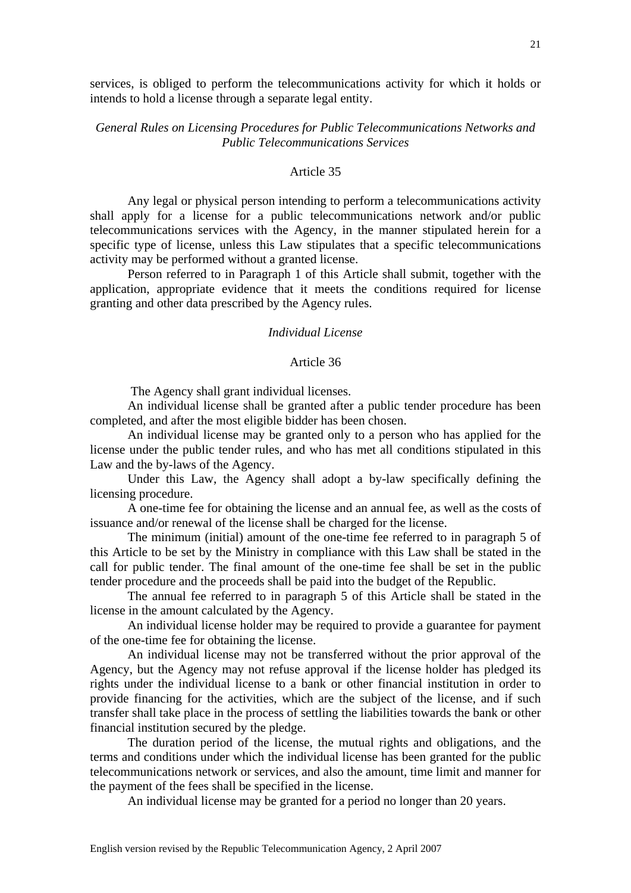services, is obliged to perform the telecommunications activity for which it holds or intends to hold a license through a separate legal entity.

# *General Rules on Licensing Procedures for Public Telecommunications Networks and Public Telecommunications Services*

# Article 35

 Any legal or physical person intending to perform a telecommunications activity shall apply for a license for a public telecommunications network and/or public telecommunications services with the Agency, in the manner stipulated herein for a specific type of license, unless this Law stipulates that a specific telecommunications activity may be performed without a granted license.

 Person referred to in Paragraph 1 of this Article shall submit, together with the application, appropriate evidence that it meets the conditions required for license granting and other data prescribed by the Agency rules.

#### *Individual License*

#### Article 36

The Agency shall grant individual licenses.

 An individual license shall be granted after a public tender procedure has been completed, and after the most eligible bidder has been chosen.

 An individual license may be granted only to a person who has applied for the license under the public tender rules, and who has met all conditions stipulated in this Law and the by-laws of the Agency.

 Under this Law, the Agency shall adopt a by-law specifically defining the licensing procedure.

 A one-time fee for obtaining the license and an annual fee, as well as the costs of issuance and/or renewal of the license shall be charged for the license.

 The minimum (initial) amount of the one-time fee referred to in paragraph 5 of this Article to be set by the Ministry in compliance with this Law shall be stated in the call for public tender. The final amount of the one-time fee shall be set in the public tender procedure and the proceeds shall be paid into the budget of the Republic.

 The annual fee referred to in paragraph 5 of this Article shall be stated in the license in the amount calculated by the Agency.

 An individual license holder may be required to provide a guarantee for payment of the one-time fee for obtaining the license.

 An individual license may not be transferred without the prior approval of the Agency, but the Agency may not refuse approval if the license holder has pledged its rights under the individual license to a bank or other financial institution in order to provide financing for the activities, which are the subject of the license, and if such transfer shall take place in the process of settling the liabilities towards the bank or other financial institution secured by the pledge.

 The duration period of the license, the mutual rights and obligations, and the terms and conditions under which the individual license has been granted for the public telecommunications network or services, and also the amount, time limit and manner for the payment of the fees shall be specified in the license.

An individual license may be granted for a period no longer than 20 years.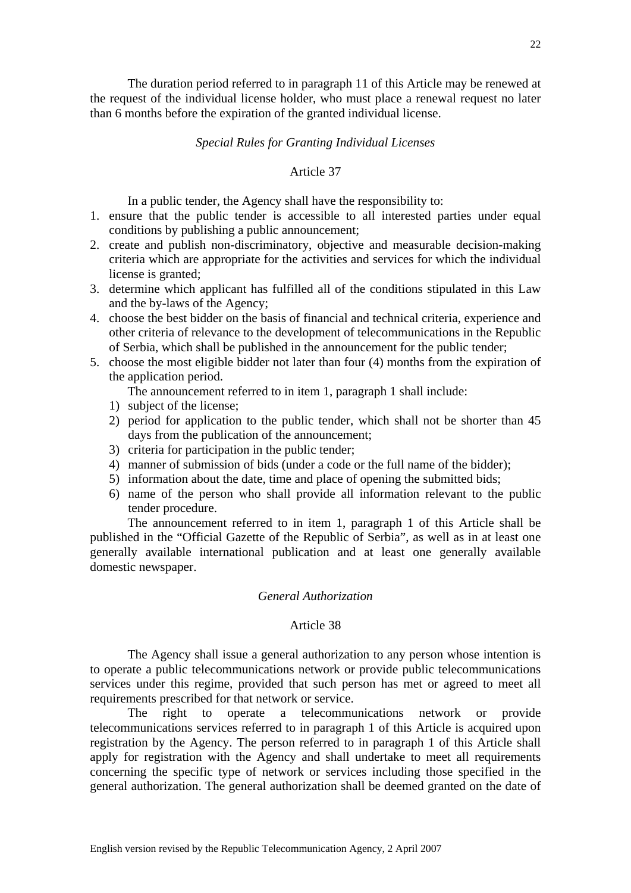The duration period referred to in paragraph 11 of this Article may be renewed at the request of the individual license holder, who must place a renewal request no later than 6 months before the expiration of the granted individual license.

### *Special Rules for Granting Individual Licenses*

# Article 37

In a public tender, the Agency shall have the responsibility to:

- 1. ensure that the public tender is accessible to all interested parties under equal conditions by publishing a public announcement;
- 2. create and publish non-discriminatory, objective and measurable decision-making criteria which are appropriate for the activities and services for which the individual license is granted;
- 3. determine which applicant has fulfilled all of the conditions stipulated in this Law and the by-laws of the Agency;
- 4. choose the best bidder on the basis of financial and technical criteria, experience and other criteria of relevance to the development of telecommunications in the Republic of Serbia, which shall be published in the announcement for the public tender;
- 5. choose the most eligible bidder not later than four (4) months from the expiration of the application period.
	- The announcement referred to in item 1, paragraph 1 shall include:
	- 1) subject of the license;
	- 2) period for application to the public tender, which shall not be shorter than 45 days from the publication of the announcement;
	- 3) criteria for participation in the public tender;
	- 4) manner of submission of bids (under a code or the full name of the bidder);
	- 5) information about the date, time and place of opening the submitted bids;
	- 6) name of the person who shall provide all information relevant to the public tender procedure.

 The announcement referred to in item 1, paragraph 1 of this Article shall be published in the "Official Gazette of the Republic of Serbia", as well as in at least one generally available international publication and at least one generally available domestic newspaper.

### *General Authorization*

# Article 38

 The Agency shall issue a general authorization to any person whose intention is to operate a public telecommunications network or provide public telecommunications services under this regime, provided that such person has met or agreed to meet all requirements prescribed for that network or service.

 The right to operate a telecommunications network or provide telecommunications services referred to in paragraph 1 of this Article is acquired upon registration by the Agency. The person referred to in paragraph 1 of this Article shall apply for registration with the Agency and shall undertake to meet all requirements concerning the specific type of network or services including those specified in the general authorization. The general authorization shall be deemed granted on the date of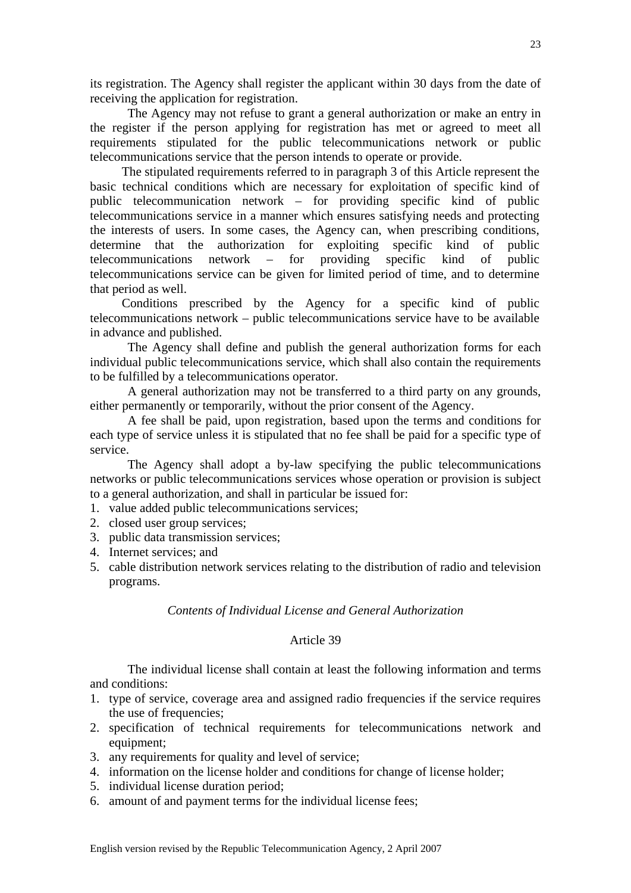its registration. The Agency shall register the applicant within 30 days from the date of receiving the application for registration.

 The Agency may not refuse to grant a general authorization or make an entry in the register if the person applying for registration has met or agreed to meet all requirements stipulated for the public telecommunications network or public telecommunications service that the person intends to operate or provide.

The stipulated requirements referred to in paragraph 3 of this Article represent the basic technical conditions which are necessary for exploitation of specific kind of public telecommunication network – for providing specific kind of public telecommunications service in a manner which ensures satisfying needs and protecting the interests of users. In some cases, the Agency can, when prescribing conditions, determine that the authorization for exploiting specific kind of public telecommunications network – for providing specific kind of public telecommunications service can be given for limited period of time, and to determine that period as well.

Conditions prescribed by the Agency for a specific kind of public telecommunications network – public telecommunications service have to be available in advance and published.

 The Agency shall define and publish the general authorization forms for each individual public telecommunications service, which shall also contain the requirements to be fulfilled by a telecommunications operator.

 A general authorization may not be transferred to a third party on any grounds, either permanently or temporarily, without the prior consent of the Agency.

 A fee shall be paid, upon registration, based upon the terms and conditions for each type of service unless it is stipulated that no fee shall be paid for a specific type of service.

 The Agency shall adopt a by-law specifying the public telecommunications networks or public telecommunications services whose operation or provision is subject to a general authorization, and shall in particular be issued for:

1. value added public telecommunications services;

- 2. closed user group services;
- 3. public data transmission services;
- 4. Internet services; and
- 5. cable distribution network services relating to the distribution of radio and television programs.

# *Contents of Individual License and General Authorization*

# Article 39

 The individual license shall contain at least the following information and terms and conditions:

- 1. type of service, coverage area and assigned radio frequencies if the service requires the use of frequencies;
- 2. specification of technical requirements for telecommunications network and equipment;
- 3. any requirements for quality and level of service;
- 4. information on the license holder and conditions for change of license holder;
- 5. individual license duration period;
- 6. amount of and payment terms for the individual license fees;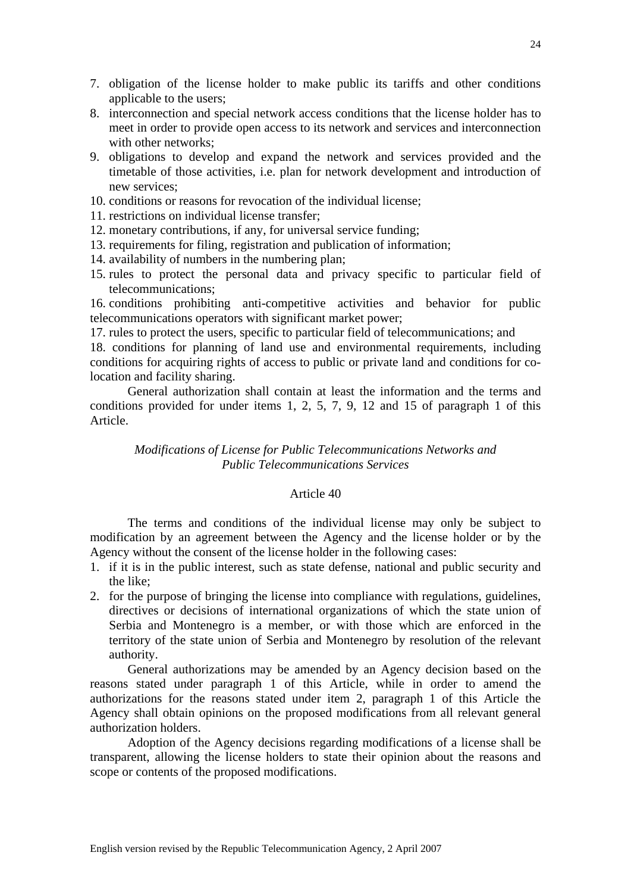- 7. obligation of the license holder to make public its tariffs and other conditions applicable to the users;
- 8. interconnection and special network access conditions that the license holder has to meet in order to provide open access to its network and services and interconnection with other networks;
- 9. obligations to develop and expand the network and services provided and the timetable of those activities, i.e. plan for network development and introduction of new services;
- 10. conditions or reasons for revocation of the individual license;
- 11. restrictions on individual license transfer;
- 12. monetary contributions, if any, for universal service funding;
- 13. requirements for filing, registration and publication of information;
- 14. availability of numbers in the numbering plan;
- 15. rules to protect the personal data and privacy specific to particular field of telecommunications;

16. conditions prohibiting anti-competitive activities and behavior for public telecommunications operators with significant market power;

17. rules to protect the users, specific to particular field of telecommunications; and

18. conditions for planning of land use and environmental requirements, including conditions for acquiring rights of access to public or private land and conditions for colocation and facility sharing.

 General authorization shall contain at least the information and the terms and conditions provided for under items 1, 2, 5, 7, 9, 12 and 15 of paragraph 1 of this Article.

# *Modifications of License for Public Telecommunications Networks and Public Telecommunications Services*

# Article 40

 The terms and conditions of the individual license may only be subject to modification by an agreement between the Agency and the license holder or by the Agency without the consent of the license holder in the following cases:

- 1. if it is in the public interest, such as state defense, national and public security and the like;
- 2. for the purpose of bringing the license into compliance with regulations, guidelines, directives or decisions of international organizations of which the state union of Serbia and Montenegro is a member, or with those which are enforced in the territory of the state union of Serbia and Montenegro by resolution of the relevant authority.

 General authorizations may be amended by an Agency decision based on the reasons stated under paragraph 1 of this Article, while in order to amend the authorizations for the reasons stated under item 2, paragraph 1 of this Article the Agency shall obtain opinions on the proposed modifications from all relevant general authorization holders.

 Adoption of the Agency decisions regarding modifications of a license shall be transparent, allowing the license holders to state their opinion about the reasons and scope or contents of the proposed modifications.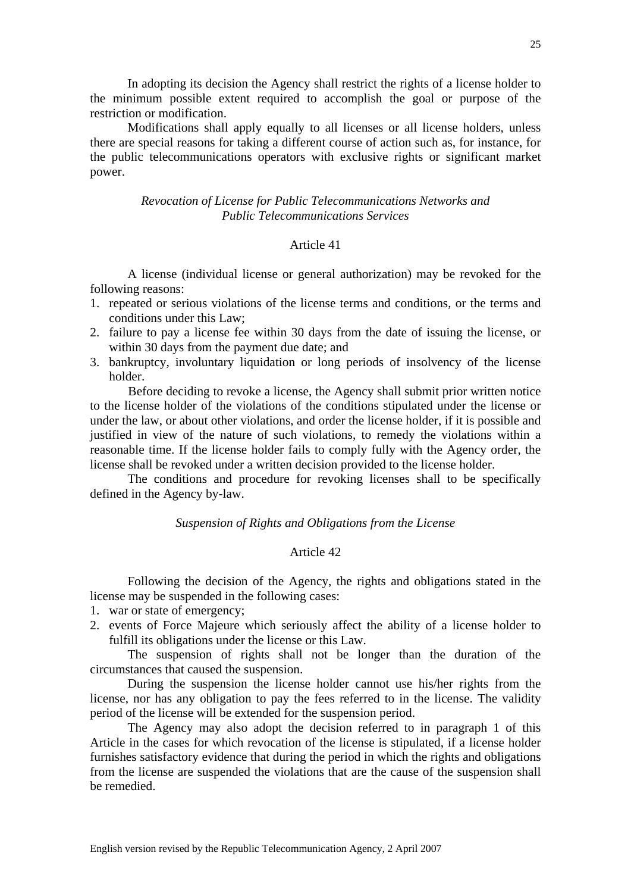In adopting its decision the Agency shall restrict the rights of a license holder to the minimum possible extent required to accomplish the goal or purpose of the restriction or modification.

 Modifications shall apply equally to all licenses or all license holders, unless there are special reasons for taking a different course of action such as, for instance, for the public telecommunications operators with exclusive rights or significant market power.

# *Revocation of License for Public Telecommunications Networks and Public Telecommunications Services*

### Article 41

 A license (individual license or general authorization) may be revoked for the following reasons:

- 1. repeated or serious violations of the license terms and conditions, or the terms and conditions under this Law;
- 2. failure to pay a license fee within 30 days from the date of issuing the license, or within 30 days from the payment due date; and
- 3. bankruptcy, involuntary liquidation or long periods of insolvency of the license holder.

 Before deciding to revoke a license, the Agency shall submit prior written notice to the license holder of the violations of the conditions stipulated under the license or under the law, or about other violations, and order the license holder, if it is possible and justified in view of the nature of such violations, to remedy the violations within a reasonable time. If the license holder fails to comply fully with the Agency order, the license shall be revoked under a written decision provided to the license holder.

 The conditions and procedure for revoking licenses shall to be specifically defined in the Agency by-law.

*Suspension of Rights and Obligations from the License* 

# Article 42

 Following the decision of the Agency, the rights and obligations stated in the license may be suspended in the following cases:

- 1. war or state of emergency;
- 2. events of Force Majeure which seriously affect the ability of a license holder to fulfill its obligations under the license or this Law.

 The suspension of rights shall not be longer than the duration of the circumstances that caused the suspension.

 During the suspension the license holder cannot use his/her rights from the license, nor has any obligation to pay the fees referred to in the license. The validity period of the license will be extended for the suspension period.

 The Agency may also adopt the decision referred to in paragraph 1 of this Article in the cases for which revocation of the license is stipulated, if a license holder furnishes satisfactory evidence that during the period in which the rights and obligations from the license are suspended the violations that are the cause of the suspension shall be remedied.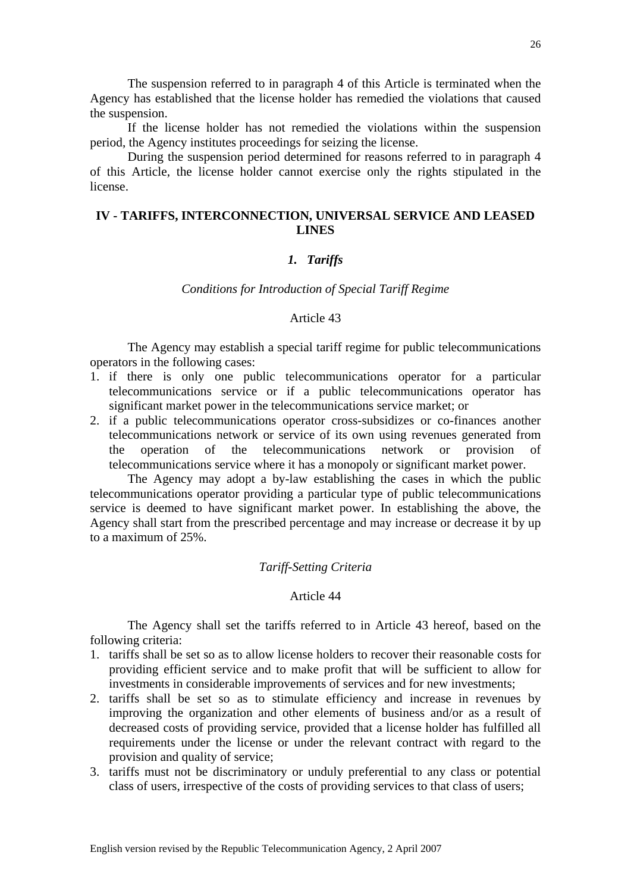The suspension referred to in paragraph 4 of this Article is terminated when the Agency has established that the license holder has remedied the violations that caused the suspension.

 If the license holder has not remedied the violations within the suspension period, the Agency institutes proceedings for seizing the license.

 During the suspension period determined for reasons referred to in paragraph 4 of this Article, the license holder cannot exercise only the rights stipulated in the license.

# **IV - TARIFFS, INTERCONNECTION, UNIVERSAL SERVICE AND LEASED LINES**

# *1. Tariffs*

### *Conditions for Introduction of Special Tariff Regime*

### Article 43

 The Agency may establish a special tariff regime for public telecommunications operators in the following cases:

- 1. if there is only one public telecommunications operator for a particular telecommunications service or if a public telecommunications operator has significant market power in the telecommunications service market; or
- 2. if a public telecommunications operator cross-subsidizes or co-finances another telecommunications network or service of its own using revenues generated from the operation of the telecommunications network or provision of telecommunications service where it has a monopoly or significant market power.

 The Agency may adopt a by-law establishing the cases in which the public telecommunications operator providing a particular type of public telecommunications service is deemed to have significant market power. In establishing the above, the Agency shall start from the prescribed percentage and may increase or decrease it by up to a maximum of 25%.

# *Tariff-Setting Criteria*

### Article 44

 The Agency shall set the tariffs referred to in Article 43 hereof, based on the following criteria:

- 1. tariffs shall be set so as to allow license holders to recover their reasonable costs for providing efficient service and to make profit that will be sufficient to allow for investments in considerable improvements of services and for new investments;
- 2. tariffs shall be set so as to stimulate efficiency and increase in revenues by improving the organization and other elements of business and/or as a result of decreased costs of providing service, provided that a license holder has fulfilled all requirements under the license or under the relevant contract with regard to the provision and quality of service;
- 3. tariffs must not be discriminatory or unduly preferential to any class or potential class of users, irrespective of the costs of providing services to that class of users;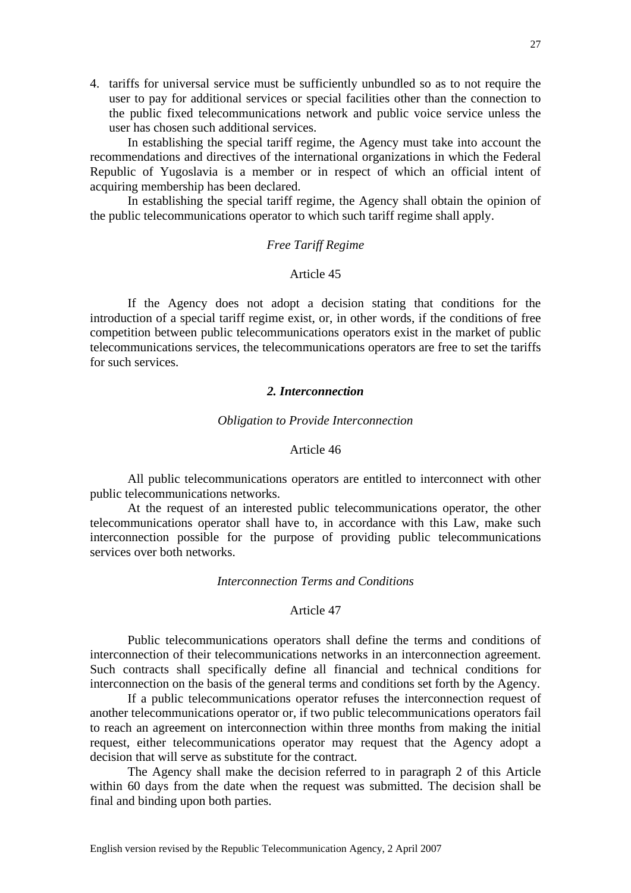4. tariffs for universal service must be sufficiently unbundled so as to not require the user to pay for additional services or special facilities other than the connection to the public fixed telecommunications network and public voice service unless the user has chosen such additional services.

 In establishing the special tariff regime, the Agency must take into account the recommendations and directives of the international organizations in which the Federal Republic of Yugoslavia is a member or in respect of which an official intent of acquiring membership has been declared.

 In establishing the special tariff regime, the Agency shall obtain the opinion of the public telecommunications operator to which such tariff regime shall apply.

# *Free Tariff Regime*

# Article 45

 If the Agency does not adopt a decision stating that conditions for the introduction of a special tariff regime exist, or, in other words, if the conditions of free competition between public telecommunications operators exist in the market of public telecommunications services, the telecommunications operators are free to set the tariffs for such services.

### *2. Interconnection*

### *Obligation to Provide Interconnection*

### Article 46

 All public telecommunications operators are entitled to interconnect with other public telecommunications networks.

 At the request of an interested public telecommunications operator, the other telecommunications operator shall have to, in accordance with this Law, make such interconnection possible for the purpose of providing public telecommunications services over both networks.

# *Interconnection Terms and Conditions*

### Article 47

 Public telecommunications operators shall define the terms and conditions of interconnection of their telecommunications networks in an interconnection agreement. Such contracts shall specifically define all financial and technical conditions for interconnection on the basis of the general terms and conditions set forth by the Agency.

 If a public telecommunications operator refuses the interconnection request of another telecommunications operator or, if two public telecommunications operators fail to reach an agreement on interconnection within three months from making the initial request, either telecommunications operator may request that the Agency adopt a decision that will serve as substitute for the contract.

 The Agency shall make the decision referred to in paragraph 2 of this Article within 60 days from the date when the request was submitted. The decision shall be final and binding upon both parties.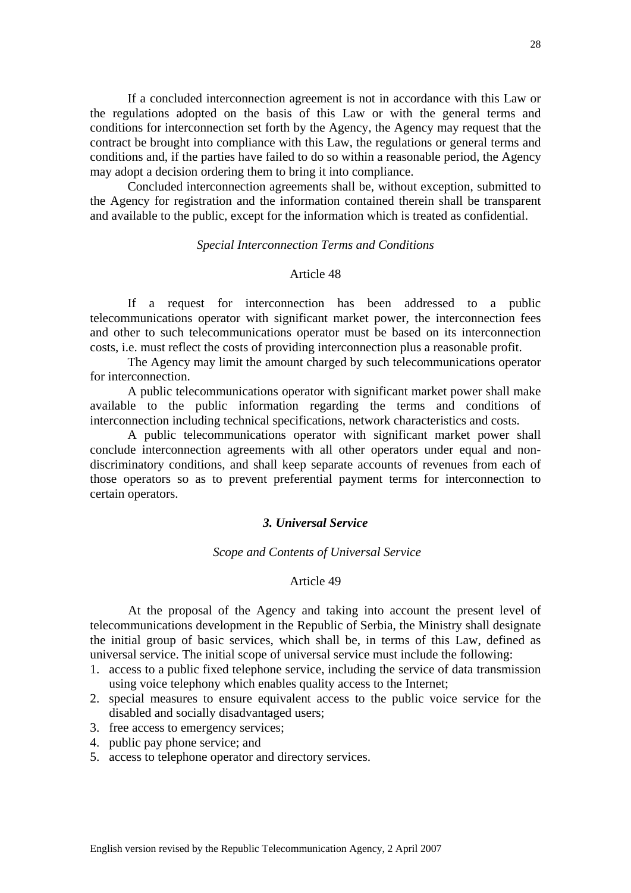If a concluded interconnection agreement is not in accordance with this Law or the regulations adopted on the basis of this Law or with the general terms and conditions for interconnection set forth by the Agency, the Agency may request that the contract be brought into compliance with this Law, the regulations or general terms and conditions and, if the parties have failed to do so within a reasonable period, the Agency may adopt a decision ordering them to bring it into compliance.

 Concluded interconnection agreements shall be, without exception, submitted to the Agency for registration and the information contained therein shall be transparent and available to the public, except for the information which is treated as confidential.

# *Special Interconnection Terms and Conditions*

# Article 48

 If a request for interconnection has been addressed to a public telecommunications operator with significant market power, the interconnection fees and other to such telecommunications operator must be based on its interconnection costs, i.e. must reflect the costs of providing interconnection plus a reasonable profit.

 The Agency may limit the amount charged by such telecommunications operator for interconnection.

 A public telecommunications operator with significant market power shall make available to the public information regarding the terms and conditions of interconnection including technical specifications, network characteristics and costs.

 A public telecommunications operator with significant market power shall conclude interconnection agreements with all other operators under equal and nondiscriminatory conditions, and shall keep separate accounts of revenues from each of those operators so as to prevent preferential payment terms for interconnection to certain operators.

# *3. Universal Service*

### *Scope and Contents of Universal Service*

#### Article 49

 At the proposal of the Agency and taking into account the present level of telecommunications development in the Republic of Serbia, the Ministry shall designate the initial group of basic services, which shall be, in terms of this Law, defined as universal service. The initial scope of universal service must include the following:

- 1. access to a public fixed telephone service, including the service of data transmission using voice telephony which enables quality access to the Internet;
- 2. special measures to ensure equivalent access to the public voice service for the disabled and socially disadvantaged users;
- 3. free access to emergency services;
- 4. public pay phone service; and
- 5. access to telephone operator and directory services.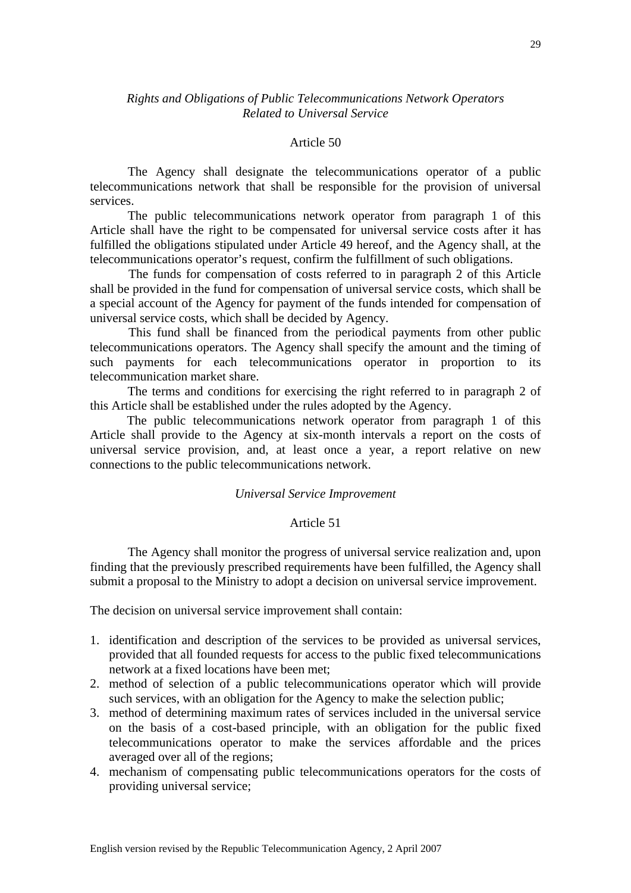# *Rights and Obligations of Public Telecommunications Network Operators Related to Universal Service*

# Article 50

 The Agency shall designate the telecommunications operator of a public telecommunications network that shall be responsible for the provision of universal services.

 The public telecommunications network operator from paragraph 1 of this Article shall have the right to be compensated for universal service costs after it has fulfilled the obligations stipulated under Article 49 hereof, and the Agency shall, at the telecommunications operator's request, confirm the fulfillment of such obligations.

 The funds for compensation of costs referred to in paragraph 2 of this Article shall be provided in the fund for compensation of universal service costs, which shall be a special account of the Agency for payment of the funds intended for compensation of universal service costs, which shall be decided by Agency.

 This fund shall be financed from the periodical payments from other public telecommunications operators. The Agency shall specify the amount and the timing of such payments for each telecommunications operator in proportion to its telecommunication market share.

 The terms and conditions for exercising the right referred to in paragraph 2 of this Article shall be established under the rules adopted by the Agency.

 The public telecommunications network operator from paragraph 1 of this Article shall provide to the Agency at six-month intervals a report on the costs of universal service provision, and, at least once a year, a report relative on new connections to the public telecommunications network.

# *Universal Service Improvement*

# Article 51

 The Agency shall monitor the progress of universal service realization and, upon finding that the previously prescribed requirements have been fulfilled, the Agency shall submit a proposal to the Ministry to adopt a decision on universal service improvement.

The decision on universal service improvement shall contain:

- 1. identification and description of the services to be provided as universal services, provided that all founded requests for access to the public fixed telecommunications network at a fixed locations have been met;
- 2. method of selection of a public telecommunications operator which will provide such services, with an obligation for the Agency to make the selection public;
- 3. method of determining maximum rates of services included in the universal service on the basis of a cost-based principle, with an obligation for the public fixed telecommunications operator to make the services affordable and the prices averaged over all of the regions;
- 4. mechanism of compensating public telecommunications operators for the costs of providing universal service;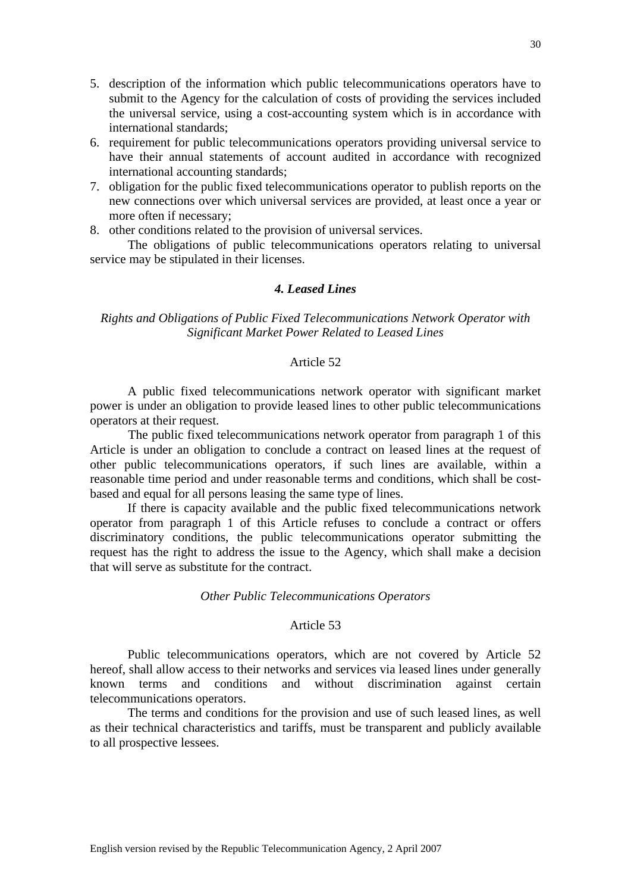- 5. description of the information which public telecommunications operators have to submit to the Agency for the calculation of costs of providing the services included the universal service, using a cost-accounting system which is in accordance with international standards;
- 6. requirement for public telecommunications operators providing universal service to have their annual statements of account audited in accordance with recognized international accounting standards;
- 7. obligation for the public fixed telecommunications operator to publish reports on the new connections over which universal services are provided, at least once a year or more often if necessary;

8. other conditions related to the provision of universal services.

 The obligations of public telecommunications operators relating to universal service may be stipulated in their licenses.

# *4. Leased Lines*

# *Rights and Obligations of Public Fixed Telecommunications Network Operator with Significant Market Power Related to Leased Lines*

### Article 52

 A public fixed telecommunications network operator with significant market power is under an obligation to provide leased lines to other public telecommunications operators at their request.

 The public fixed telecommunications network operator from paragraph 1 of this Article is under an obligation to conclude a contract on leased lines at the request of other public telecommunications operators, if such lines are available, within a reasonable time period and under reasonable terms and conditions, which shall be costbased and equal for all persons leasing the same type of lines.

 If there is capacity available and the public fixed telecommunications network operator from paragraph 1 of this Article refuses to conclude a contract or offers discriminatory conditions, the public telecommunications operator submitting the request has the right to address the issue to the Agency, which shall make a decision that will serve as substitute for the contract.

### *Other Public Telecommunications Operators*

### Article 53

 Public telecommunications operators, which are not covered by Article 52 hereof, shall allow access to their networks and services via leased lines under generally known terms and conditions and without discrimination against certain telecommunications operators.

 The terms and conditions for the provision and use of such leased lines, as well as their technical characteristics and tariffs, must be transparent and publicly available to all prospective lessees.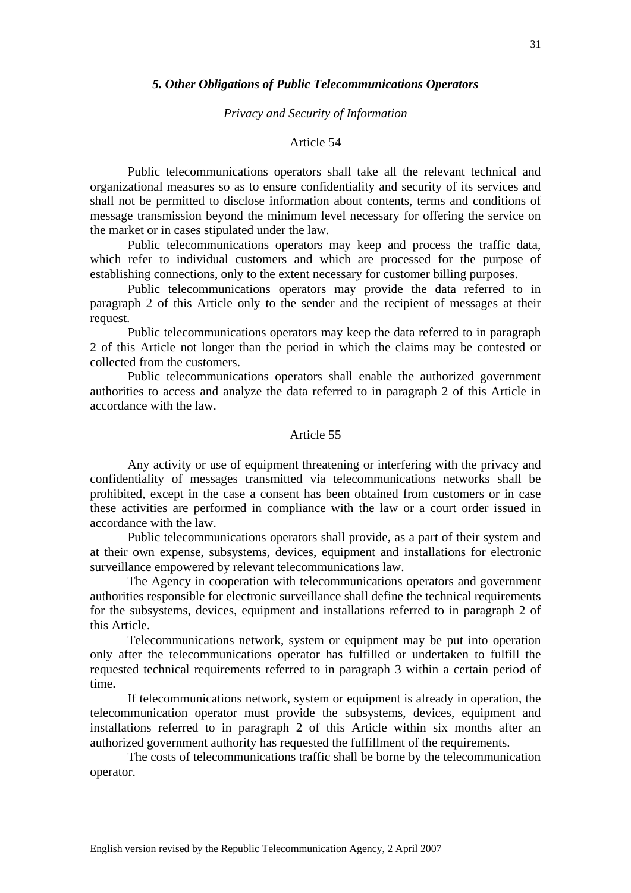### *5. Other Obligations of Public Telecommunications Operators*

#### *Privacy and Security of Information*

### Article 54

 Public telecommunications operators shall take all the relevant technical and organizational measures so as to ensure confidentiality and security of its services and shall not be permitted to disclose information about contents, terms and conditions of message transmission beyond the minimum level necessary for offering the service on the market or in cases stipulated under the law.

 Public telecommunications operators may keep and process the traffic data, which refer to individual customers and which are processed for the purpose of establishing connections, only to the extent necessary for customer billing purposes.

 Public telecommunications operators may provide the data referred to in paragraph 2 of this Article only to the sender and the recipient of messages at their request.

 Public telecommunications operators may keep the data referred to in paragraph 2 of this Article not longer than the period in which the claims may be contested or collected from the customers.

 Public telecommunications operators shall enable the authorized government authorities to access and analyze the data referred to in paragraph 2 of this Article in accordance with the law.

# Article 55

 Any activity or use of equipment threatening or interfering with the privacy and confidentiality of messages transmitted via telecommunications networks shall be prohibited, except in the case a consent has been obtained from customers or in case these activities are performed in compliance with the law or a court order issued in accordance with the law.

 Public telecommunications operators shall provide, as a part of their system and at their own expense, subsystems, devices, equipment and installations for electronic surveillance empowered by relevant telecommunications law.

 The Agency in cooperation with telecommunications operators and government authorities responsible for electronic surveillance shall define the technical requirements for the subsystems, devices, equipment and installations referred to in paragraph 2 of this Article.

Telecommunications network, system or equipment may be put into operation only after the telecommunications operator has fulfilled or undertaken to fulfill the requested technical requirements referred to in paragraph 3 within a certain period of time.

If telecommunications network, system or equipment is already in operation, the telecommunication operator must provide the subsystems, devices, equipment and installations referred to in paragraph 2 of this Article within six months after an authorized government authority has requested the fulfillment of the requirements.

The costs of telecommunications traffic shall be borne by the telecommunication operator.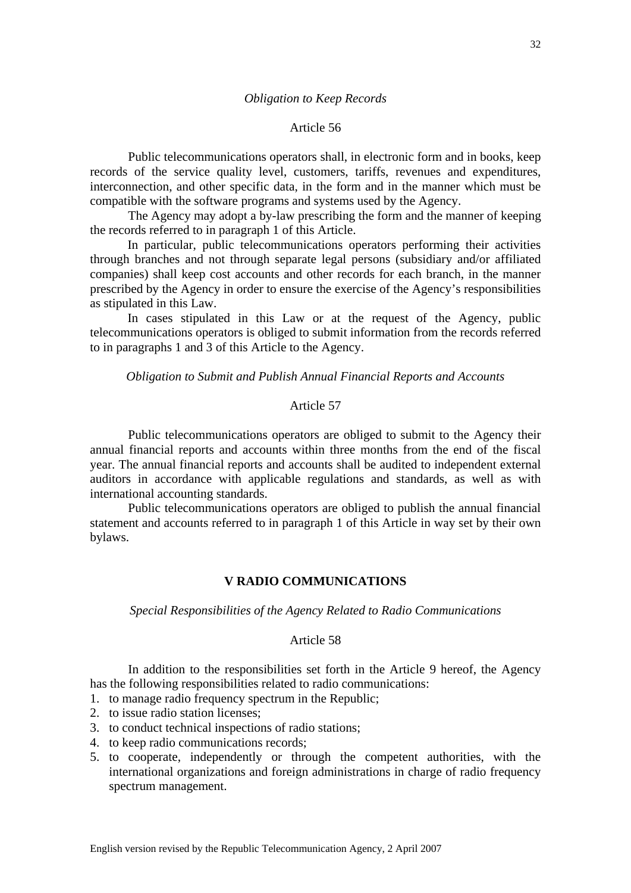# *Obligation to Keep Records*

### Article 56

Public telecommunications operators shall, in electronic form and in books, keep records of the service quality level, customers, tariffs, revenues and expenditures, interconnection, and other specific data, in the form and in the manner which must be compatible with the software programs and systems used by the Agency.

 The Agency may adopt a by-law prescribing the form and the manner of keeping the records referred to in paragraph 1 of this Article.

 In particular, public telecommunications operators performing their activities through branches and not through separate legal persons (subsidiary and/or affiliated companies) shall keep cost accounts and other records for each branch, in the manner prescribed by the Agency in order to ensure the exercise of the Agency's responsibilities as stipulated in this Law.

 In cases stipulated in this Law or at the request of the Agency, public telecommunications operators is obliged to submit information from the records referred to in paragraphs 1 and 3 of this Article to the Agency.

*Obligation to Submit and Publish Annual Financial Reports and Accounts* 

# Article 57

Public telecommunications operators are obliged to submit to the Agency their annual financial reports and accounts within three months from the end of the fiscal year. The annual financial reports and accounts shall be audited to independent external auditors in accordance with applicable regulations and standards, as well as with international accounting standards.

Public telecommunications operators are obliged to publish the annual financial statement and accounts referred to in paragraph 1 of this Article in way set by their own bylaws.

# **V RADIO COMMUNICATIONS**

### *Special Responsibilities of the Agency Related to Radio Communications*

#### Article 58

In addition to the responsibilities set forth in the Article 9 hereof, the Agency has the following responsibilities related to radio communications:

1. to manage radio frequency spectrum in the Republic;

- 2. to issue radio station licenses;
- 3. to conduct technical inspections of radio stations;
- 4. to keep radio communications records;
- 5. to cooperate, independently or through the competent authorities, with the international organizations and foreign administrations in charge of radio frequency spectrum management.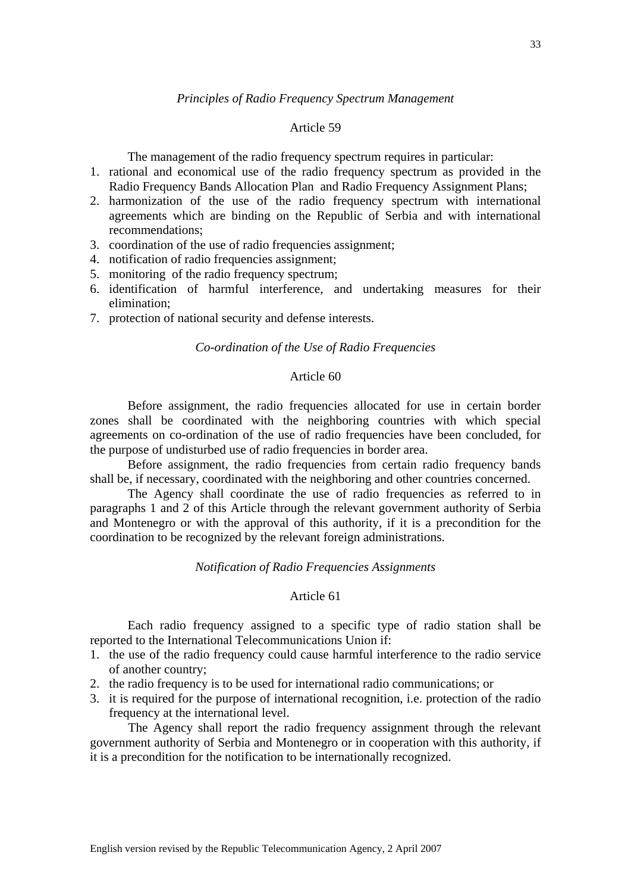# Article 59

*Principles of Radio Frequency Spectrum Management* 

The management of the radio frequency spectrum requires in particular:

- 1. rational and economical use of the radio frequency spectrum as provided in the Radio Frequency Bands Allocation Plan and Radio Frequency Assignment Plans;
- 2. harmonization of the use of the radio frequency spectrum with international agreements which are binding on the Republic of Serbia and with international recommendations;
- 3. coordination of the use of radio frequencies assignment;
- 4. notification of radio frequencies assignment;
- 5. monitoring of the radio frequency spectrum;
- 6. identification of harmful interference, and undertaking measures for their elimination;
- 7. protection of national security and defense interests.

# *Co-ordination of the Use of Radio Frequencies*

# Article 60

 Before assignment, the radio frequencies allocated for use in certain border zones shall be coordinated with the neighboring countries with which special agreements on co-ordination of the use of radio frequencies have been concluded, for the purpose of undisturbed use of radio frequencies in border area.

 Before assignment, the radio frequencies from certain radio frequency bands shall be, if necessary, coordinated with the neighboring and other countries concerned.

 The Agency shall coordinate the use of radio frequencies as referred to in paragraphs 1 and 2 of this Article through the relevant government authority of Serbia and Montenegro or with the approval of this authority, if it is a precondition for the coordination to be recognized by the relevant foreign administrations.

# *Notification of Radio Frequencies Assignments*

# Article 61

 Each radio frequency assigned to a specific type of radio station shall be reported to the International Telecommunications Union if:

- 1. the use of the radio frequency could cause harmful interference to the radio service of another country;
- 2. the radio frequency is to be used for international radio communications; or
- 3. it is required for the purpose of international recognition, i.e. protection of the radio frequency at the international level.

The Agency shall report the radio frequency assignment through the relevant government authority of Serbia and Montenegro or in cooperation with this authority, if it is a precondition for the notification to be internationally recognized.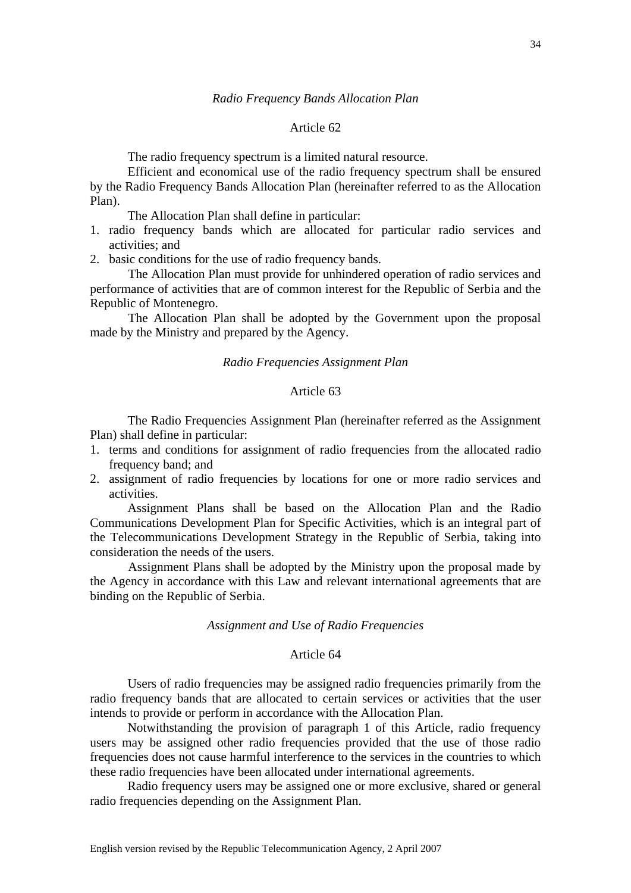### Article 62

The radio frequency spectrum is a limited natural resource.

 Efficient and economical use of the radio frequency spectrum shall be ensured by the Radio Frequency Bands Allocation Plan (hereinafter referred to as the Allocation Plan).

The Allocation Plan shall define in particular:

- 1. radio frequency bands which are allocated for particular radio services and activities; and
- 2. basic conditions for the use of radio frequency bands.

The Allocation Plan must provide for unhindered operation of radio services and performance of activities that are of common interest for the Republic of Serbia and the Republic of Montenegro.

The Allocation Plan shall be adopted by the Government upon the proposal made by the Ministry and prepared by the Agency.

#### *Radio Frequencies Assignment Plan*

### Article 63

 The Radio Frequencies Assignment Plan (hereinafter referred as the Assignment Plan) shall define in particular:

- 1. terms and conditions for assignment of radio frequencies from the allocated radio frequency band; and
- 2. assignment of radio frequencies by locations for one or more radio services and activities.

 Assignment Plans shall be based on the Allocation Plan and the Radio Communications Development Plan for Specific Activities, which is an integral part of the Telecommunications Development Strategy in the Republic of Serbia, taking into consideration the needs of the users.

 Assignment Plans shall be adopted by the Ministry upon the proposal made by the Agency in accordance with this Law and relevant international agreements that are binding on the Republic of Serbia.

### *Assignment and Use of Radio Frequencies*

# Article 64

 Users of radio frequencies may be assigned radio frequencies primarily from the radio frequency bands that are allocated to certain services or activities that the user intends to provide or perform in accordance with the Allocation Plan.

 Notwithstanding the provision of paragraph 1 of this Article, radio frequency users may be assigned other radio frequencies provided that the use of those radio frequencies does not cause harmful interference to the services in the countries to which these radio frequencies have been allocated under international agreements.

 Radio frequency users may be assigned one or more exclusive, shared or general radio frequencies depending on the Assignment Plan.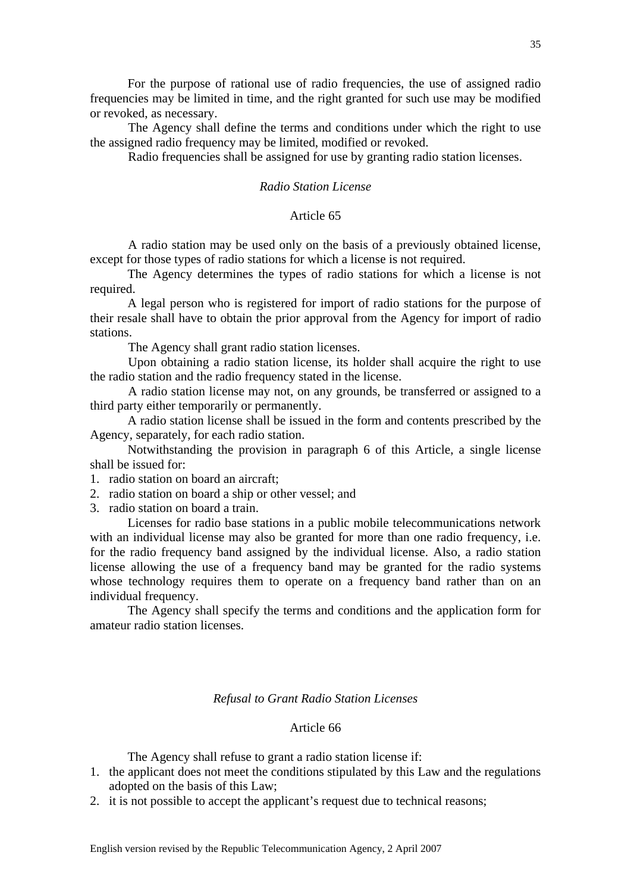For the purpose of rational use of radio frequencies, the use of assigned radio frequencies may be limited in time, and the right granted for such use may be modified or revoked, as necessary.

The Agency shall define the terms and conditions under which the right to use the assigned radio frequency may be limited, modified or revoked.

Radio frequencies shall be assigned for use by granting radio station licenses.

# *Radio Station License*

# Article 65

 A radio station may be used only on the basis of a previously obtained license, except for those types of radio stations for which a license is not required.

 The Agency determines the types of radio stations for which a license is not required.

 A legal person who is registered for import of radio stations for the purpose of their resale shall have to obtain the prior approval from the Agency for import of radio stations.

The Agency shall grant radio station licenses.

Upon obtaining a radio station license, its holder shall acquire the right to use the radio station and the radio frequency stated in the license.

A radio station license may not, on any grounds, be transferred or assigned to a third party either temporarily or permanently.

 A radio station license shall be issued in the form and contents prescribed by the Agency, separately, for each radio station.

 Notwithstanding the provision in paragraph 6 of this Article, a single license shall be issued for:

1. radio station on board an aircraft;

2. radio station on board a ship or other vessel; and

3. radio station on board a train.

 Licenses for radio base stations in a public mobile telecommunications network with an individual license may also be granted for more than one radio frequency, i.e. for the radio frequency band assigned by the individual license. Also, a radio station license allowing the use of a frequency band may be granted for the radio systems whose technology requires them to operate on a frequency band rather than on an individual frequency.

 The Agency shall specify the terms and conditions and the application form for amateur radio station licenses.

#### *Refusal to Grant Radio Station Licenses*

# Article 66

The Agency shall refuse to grant a radio station license if:

- 1. the applicant does not meet the conditions stipulated by this Law and the regulations adopted on the basis of this Law;
- 2. it is not possible to accept the applicant's request due to technical reasons;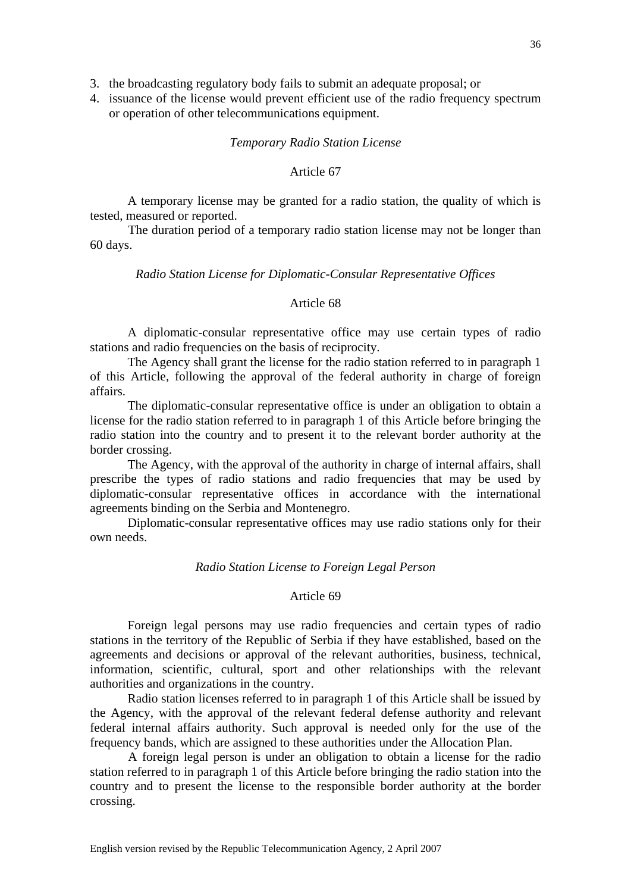3. the broadcasting regulatory body fails to submit an adequate proposal; or

4. issuance of the license would prevent efficient use of the radio frequency spectrum or operation of other telecommunications equipment.

#### *Temporary Radio Station License*

# Article 67

 A temporary license may be granted for a radio station, the quality of which is tested, measured or reported.

The duration period of a temporary radio station license may not be longer than 60 days.

### *Radio Station License for Diplomatic-Consular Representative Offices*

# Article 68

 A diplomatic-consular representative office may use certain types of radio stations and radio frequencies on the basis of reciprocity.

 The Agency shall grant the license for the radio station referred to in paragraph 1 of this Article, following the approval of the federal authority in charge of foreign affairs.

 The diplomatic-consular representative office is under an obligation to obtain a license for the radio station referred to in paragraph 1 of this Article before bringing the radio station into the country and to present it to the relevant border authority at the border crossing.

 The Agency, with the approval of the authority in charge of internal affairs, shall prescribe the types of radio stations and radio frequencies that may be used by diplomatic-consular representative offices in accordance with the international agreements binding on the Serbia and Montenegro.

 Diplomatic-consular representative offices may use radio stations only for their own needs.

### *Radio Station License to Foreign Legal Person*

# Article 69

 Foreign legal persons may use radio frequencies and certain types of radio stations in the territory of the Republic of Serbia if they have established, based on the agreements and decisions or approval of the relevant authorities, business, technical, information, scientific, cultural, sport and other relationships with the relevant authorities and organizations in the country.

 Radio station licenses referred to in paragraph 1 of this Article shall be issued by the Agency, with the approval of the relevant federal defense authority and relevant federal internal affairs authority. Such approval is needed only for the use of the frequency bands, which are assigned to these authorities under the Allocation Plan.

A foreign legal person is under an obligation to obtain a license for the radio station referred to in paragraph 1 of this Article before bringing the radio station into the country and to present the license to the responsible border authority at the border crossing.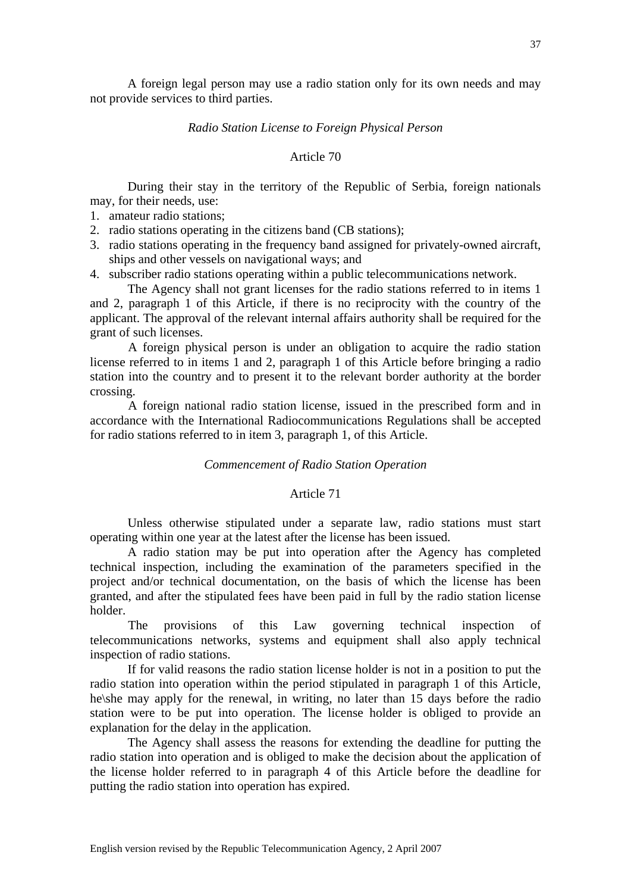A foreign legal person may use a radio station only for its own needs and may not provide services to third parties.

#### *Radio Station License to Foreign Physical Person*

# Article 70

 During their stay in the territory of the Republic of Serbia, foreign nationals may, for their needs, use:

- 1. amateur radio stations;
- 2. radio stations operating in the citizens band (CB stations);
- 3. radio stations operating in the frequency band assigned for privately-owned aircraft, ships and other vessels on navigational ways; and
- 4. subscriber radio stations operating within a public telecommunications network.

 The Agency shall not grant licenses for the radio stations referred to in items 1 and 2, paragraph 1 of this Article, if there is no reciprocity with the country of the applicant. The approval of the relevant internal affairs authority shall be required for the grant of such licenses.

A foreign physical person is under an obligation to acquire the radio station license referred to in items 1 and 2, paragraph 1 of this Article before bringing a radio station into the country and to present it to the relevant border authority at the border crossing.

 A foreign national radio station license, issued in the prescribed form and in accordance with the International Radiocommunications Regulations shall be accepted for radio stations referred to in item 3, paragraph 1, of this Article.

#### *Commencement of Radio Station Operation*

### Article 71

 Unless otherwise stipulated under a separate law, radio stations must start operating within one year at the latest after the license has been issued.

 A radio station may be put into operation after the Agency has completed technical inspection, including the examination of the parameters specified in the project and/or technical documentation, on the basis of which the license has been granted, and after the stipulated fees have been paid in full by the radio station license holder.

 The provisions of this Law governing technical inspection of telecommunications networks, systems and equipment shall also apply technical inspection of radio stations.

 If for valid reasons the radio station license holder is not in a position to put the radio station into operation within the period stipulated in paragraph 1 of this Article, he\she may apply for the renewal, in writing, no later than 15 days before the radio station were to be put into operation. The license holder is obliged to provide an explanation for the delay in the application.

 The Agency shall assess the reasons for extending the deadline for putting the radio station into operation and is obliged to make the decision about the application of the license holder referred to in paragraph 4 of this Article before the deadline for putting the radio station into operation has expired.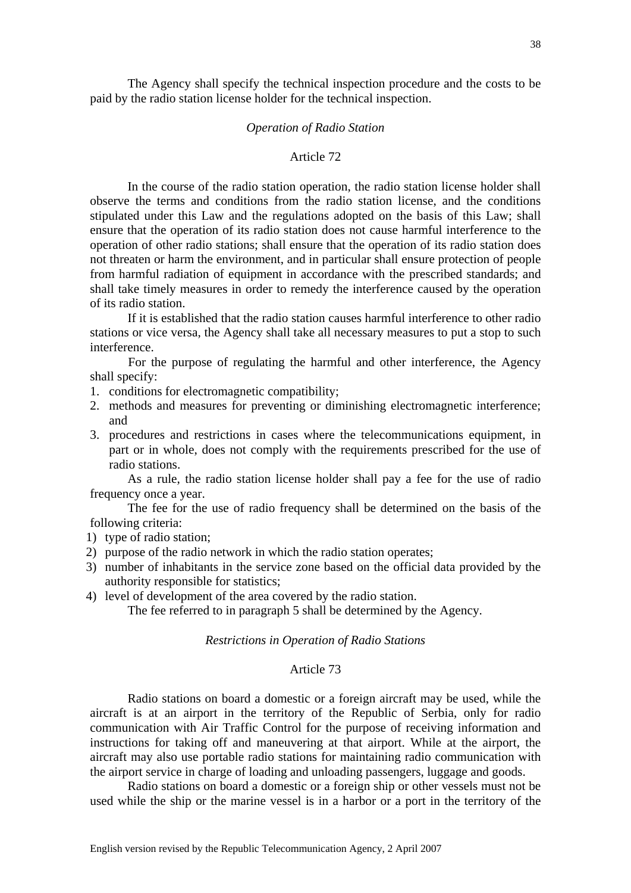The Agency shall specify the technical inspection procedure and the costs to be paid by the radio station license holder for the technical inspection.

### *Operation of Radio Station*

# Article 72

 In the course of the radio station operation, the radio station license holder shall observe the terms and conditions from the radio station license, and the conditions stipulated under this Law and the regulations adopted on the basis of this Law; shall ensure that the operation of its radio station does not cause harmful interference to the operation of other radio stations; shall ensure that the operation of its radio station does not threaten or harm the environment, and in particular shall ensure protection of people from harmful radiation of equipment in accordance with the prescribed standards; and shall take timely measures in order to remedy the interference caused by the operation of its radio station.

 If it is established that the radio station causes harmful interference to other radio stations or vice versa, the Agency shall take all necessary measures to put a stop to such interference.

For the purpose of regulating the harmful and other interference, the Agency shall specify:

- 1. conditions for electromagnetic compatibility;
- 2. methods and measures for preventing or diminishing electromagnetic interference; and
- 3. procedures and restrictions in cases where the telecommunications equipment, in part or in whole, does not comply with the requirements prescribed for the use of radio stations.

 As a rule, the radio station license holder shall pay a fee for the use of radio frequency once a year.

 The fee for the use of radio frequency shall be determined on the basis of the following criteria:

- 1) type of radio station;
- 2) purpose of the radio network in which the radio station operates;
- 3) number of inhabitants in the service zone based on the official data provided by the authority responsible for statistics;
- 4) level of development of the area covered by the radio station.

The fee referred to in paragraph 5 shall be determined by the Agency.

## *Restrictions in Operation of Radio Stations*

# Article 73

 Radio stations on board a domestic or a foreign aircraft may be used, while the aircraft is at an airport in the territory of the Republic of Serbia, only for radio communication with Air Traffic Control for the purpose of receiving information and instructions for taking off and maneuvering at that airport. While at the airport, the aircraft may also use portable radio stations for maintaining radio communication with the airport service in charge of loading and unloading passengers, luggage and goods.

 Radio stations on board a domestic or a foreign ship or other vessels must not be used while the ship or the marine vessel is in a harbor or a port in the territory of the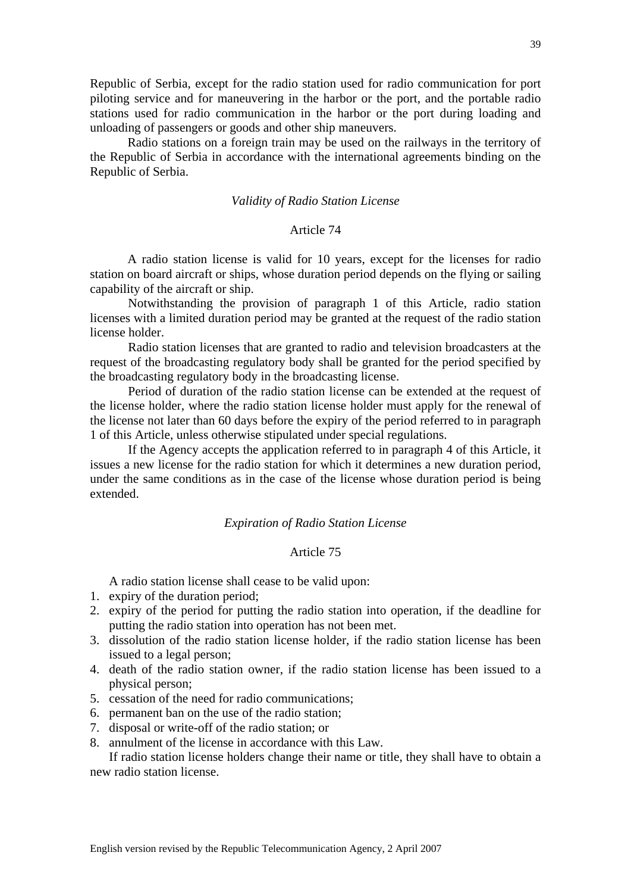Republic of Serbia, except for the radio station used for radio communication for port piloting service and for maneuvering in the harbor or the port, and the portable radio stations used for radio communication in the harbor or the port during loading and unloading of passengers or goods and other ship maneuvers.

 Radio stations on a foreign train may be used on the railways in the territory of the Republic of Serbia in accordance with the international agreements binding on the Republic of Serbia.

#### *Validity of Radio Station License*

# Article 74

 A radio station license is valid for 10 years, except for the licenses for radio station on board aircraft or ships, whose duration period depends on the flying or sailing capability of the aircraft or ship.

Notwithstanding the provision of paragraph 1 of this Article, radio station licenses with a limited duration period may be granted at the request of the radio station license holder.

Radio station licenses that are granted to radio and television broadcasters at the request of the broadcasting regulatory body shall be granted for the period specified by the broadcasting regulatory body in the broadcasting license.

Period of duration of the radio station license can be extended at the request of the license holder, where the radio station license holder must apply for the renewal of the license not later than 60 days before the expiry of the period referred to in paragraph 1 of this Article, unless otherwise stipulated under special regulations.

If the Agency accepts the application referred to in paragraph 4 of this Article, it issues a new license for the radio station for which it determines a new duration period, under the same conditions as in the case of the license whose duration period is being extended.

# *Expiration of Radio Station License*

# Article 75

A radio station license shall cease to be valid upon:

- 1. expiry of the duration period;
- 2. expiry of the period for putting the radio station into operation, if the deadline for putting the radio station into operation has not been met.
- 3. dissolution of the radio station license holder, if the radio station license has been issued to a legal person;
- 4. death of the radio station owner, if the radio station license has been issued to a physical person;
- 5. cessation of the need for radio communications;
- 6. permanent ban on the use of the radio station;
- 7. disposal or write-off of the radio station; or
- 8. annulment of the license in accordance with this Law.

If radio station license holders change their name or title, they shall have to obtain a new radio station license.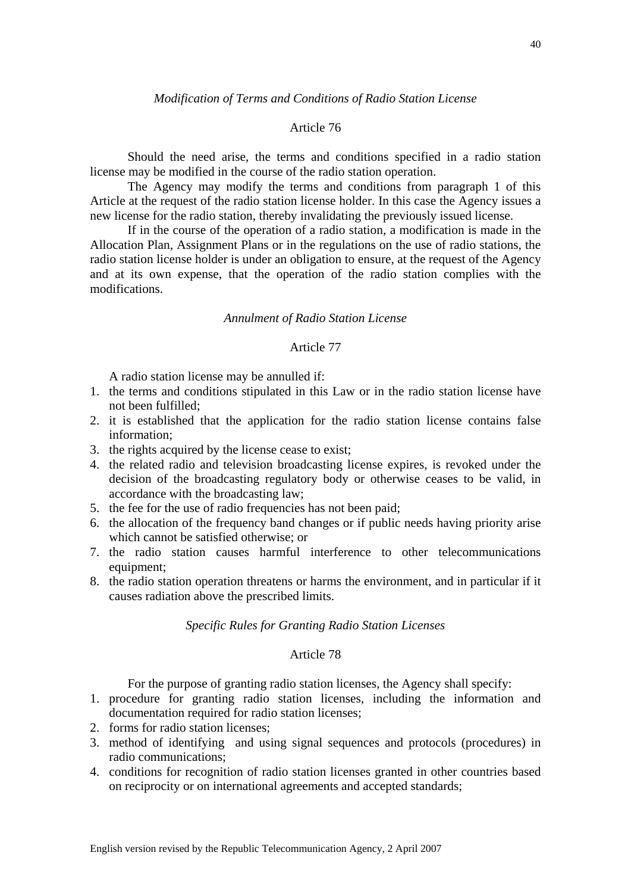### *Modification of Terms and Conditions of Radio Station License*

# Article 76

 Should the need arise, the terms and conditions specified in a radio station license may be modified in the course of the radio station operation.

 The Agency may modify the terms and conditions from paragraph 1 of this Article at the request of the radio station license holder. In this case the Agency issues a new license for the radio station, thereby invalidating the previously issued license.

 If in the course of the operation of a radio station, a modification is made in the Allocation Plan, Assignment Plans or in the regulations on the use of radio stations, the radio station license holder is under an obligation to ensure, at the request of the Agency and at its own expense, that the operation of the radio station complies with the modifications.

# *Annulment of Radio Station License*

# Article 77

A radio station license may be annulled if:

- 1. the terms and conditions stipulated in this Law or in the radio station license have not been fulfilled;
- 2. it is established that the application for the radio station license contains false information;
- 3. the rights acquired by the license cease to exist;
- 4. the related radio and television broadcasting license expires, is revoked under the decision of the broadcasting regulatory body or otherwise ceases to be valid, in accordance with the broadcasting law;
- 5. the fee for the use of radio frequencies has not been paid;
- 6. the allocation of the frequency band changes or if public needs having priority arise which cannot be satisfied otherwise; or
- 7. the radio station causes harmful interference to other telecommunications equipment:
- 8. the radio station operation threatens or harms the environment, and in particular if it causes radiation above the prescribed limits.

### *Specific Rules for Granting Radio Station Licenses*

### Article 78

For the purpose of granting radio station licenses, the Agency shall specify:

- 1. procedure for granting radio station licenses, including the information and documentation required for radio station licenses;
- 2. forms for radio station licenses;
- 3. method of identifying and using signal sequences and protocols (procedures) in radio communications;
- 4. conditions for recognition of radio station licenses granted in other countries based on reciprocity or on international agreements and accepted standards;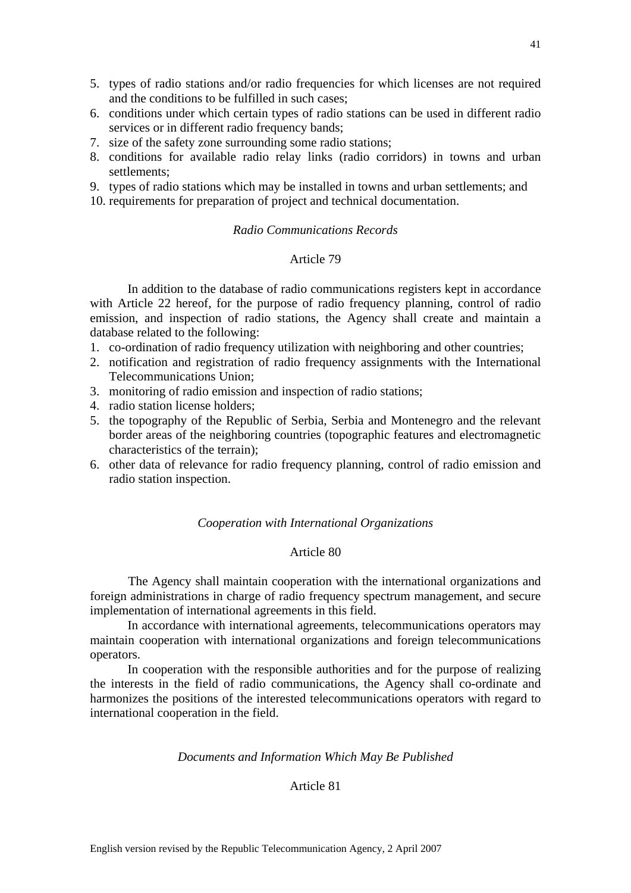- 5. types of radio stations and/or radio frequencies for which licenses are not required and the conditions to be fulfilled in such cases;
- 6. conditions under which certain types of radio stations can be used in different radio services or in different radio frequency bands;
- 7. size of the safety zone surrounding some radio stations;
- 8. conditions for available radio relay links (radio corridors) in towns and urban settlements;
- 9. types of radio stations which may be installed in towns and urban settlements; and
- 10. requirements for preparation of project and technical documentation.

# *Radio Communications Records*

# Article 79

 In addition to the database of radio communications registers kept in accordance with Article 22 hereof, for the purpose of radio frequency planning, control of radio emission, and inspection of radio stations, the Agency shall create and maintain a database related to the following:

- 1. co-ordination of radio frequency utilization with neighboring and other countries;
- 2. notification and registration of radio frequency assignments with the International Telecommunications Union;
- 3. monitoring of radio emission and inspection of radio stations;
- 4. radio station license holders;
- 5. the topography of the Republic of Serbia, Serbia and Montenegro and the relevant border areas of the neighboring countries (topographic features and electromagnetic characteristics of the terrain);
- 6. other data of relevance for radio frequency planning, control of radio emission and radio station inspection.

# *Cooperation with International Organizations*

# Article 80

The Agency shall maintain cooperation with the international organizations and foreign administrations in charge of radio frequency spectrum management, and secure implementation of international agreements in this field.

 In accordance with international agreements, telecommunications operators may maintain cooperation with international organizations and foreign telecommunications operators.

 In cooperation with the responsible authorities and for the purpose of realizing the interests in the field of radio communications, the Agency shall co-ordinate and harmonizes the positions of the interested telecommunications operators with regard to international cooperation in the field.

#### *Documents and Information Which May Be Published*

# Article 81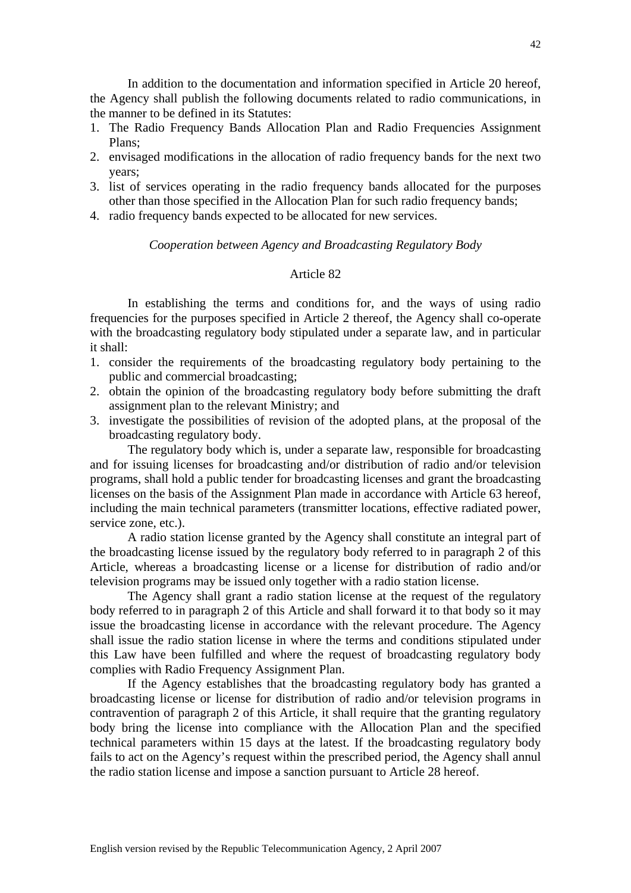In addition to the documentation and information specified in Article 20 hereof, the Agency shall publish the following documents related to radio communications, in the manner to be defined in its Statutes:

- 1. The Radio Frequency Bands Allocation Plan and Radio Frequencies Assignment Plans;
- 2. envisaged modifications in the allocation of radio frequency bands for the next two years;
- 3. list of services operating in the radio frequency bands allocated for the purposes other than those specified in the Allocation Plan for such radio frequency bands;
- 4. radio frequency bands expected to be allocated for new services.

# *Cooperation between Agency and Broadcasting Regulatory Body*

# Article 82

 In establishing the terms and conditions for, and the ways of using radio frequencies for the purposes specified in Article 2 thereof, the Agency shall co-operate with the broadcasting regulatory body stipulated under a separate law, and in particular it shall:

- 1. consider the requirements of the broadcasting regulatory body pertaining to the public and commercial broadcasting;
- 2. obtain the opinion of the broadcasting regulatory body before submitting the draft assignment plan to the relevant Ministry; and
- 3. investigate the possibilities of revision of the adopted plans, at the proposal of the broadcasting regulatory body.

 The regulatory body which is, under a separate law, responsible for broadcasting and for issuing licenses for broadcasting and/or distribution of radio and/or television programs, shall hold a public tender for broadcasting licenses and grant the broadcasting licenses on the basis of the Assignment Plan made in accordance with Article 63 hereof, including the main technical parameters (transmitter locations, effective radiated power, service zone, etc.).

 A radio station license granted by the Agency shall constitute an integral part of the broadcasting license issued by the regulatory body referred to in paragraph 2 of this Article, whereas a broadcasting license or a license for distribution of radio and/or television programs may be issued only together with a radio station license.

 The Agency shall grant a radio station license at the request of the regulatory body referred to in paragraph 2 of this Article and shall forward it to that body so it may issue the broadcasting license in accordance with the relevant procedure. The Agency shall issue the radio station license in where the terms and conditions stipulated under this Law have been fulfilled and where the request of broadcasting regulatory body complies with Radio Frequency Assignment Plan.

 If the Agency establishes that the broadcasting regulatory body has granted a broadcasting license or license for distribution of radio and/or television programs in contravention of paragraph 2 of this Article, it shall require that the granting regulatory body bring the license into compliance with the Allocation Plan and the specified technical parameters within 15 days at the latest. If the broadcasting regulatory body fails to act on the Agency's request within the prescribed period, the Agency shall annul the radio station license and impose a sanction pursuant to Article 28 hereof.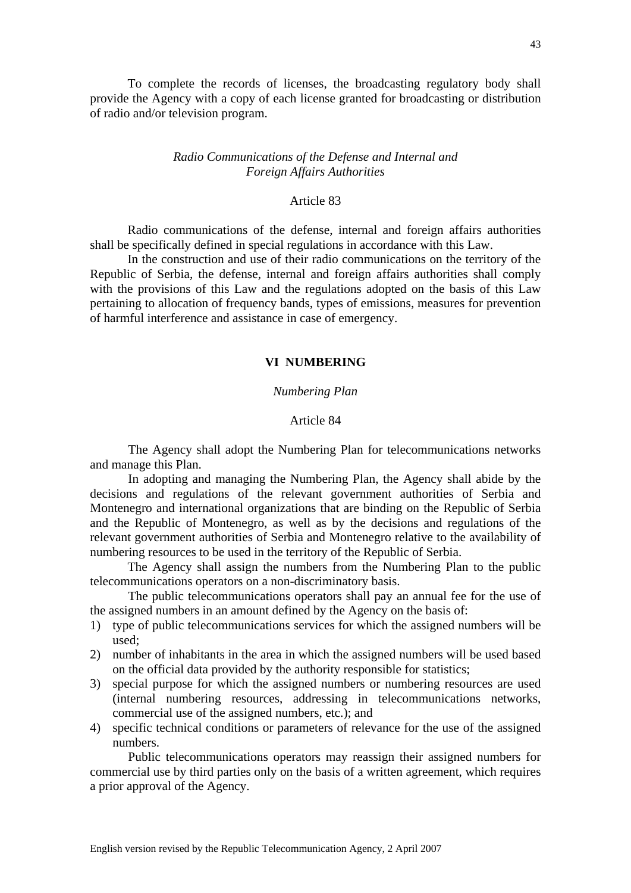To complete the records of licenses, the broadcasting regulatory body shall provide the Agency with a copy of each license granted for broadcasting or distribution of radio and/or television program.

# *Radio Communications of the Defense and Internal and Foreign Affairs Authorities*

### Article 83

 Radio communications of the defense, internal and foreign affairs authorities shall be specifically defined in special regulations in accordance with this Law.

 In the construction and use of their radio communications on the territory of the Republic of Serbia, the defense, internal and foreign affairs authorities shall comply with the provisions of this Law and the regulations adopted on the basis of this Law pertaining to allocation of frequency bands, types of emissions, measures for prevention of harmful interference and assistance in case of emergency.

## **VI NUMBERING**

# *Numbering Plan*

### Article 84

The Agency shall adopt the Numbering Plan for telecommunications networks and manage this Plan.

 In adopting and managing the Numbering Plan, the Agency shall abide by the decisions and regulations of the relevant government authorities of Serbia and Montenegro and international organizations that are binding on the Republic of Serbia and the Republic of Montenegro, as well as by the decisions and regulations of the relevant government authorities of Serbia and Montenegro relative to the availability of numbering resources to be used in the territory of the Republic of Serbia.

 The Agency shall assign the numbers from the Numbering Plan to the public telecommunications operators on a non-discriminatory basis.

The public telecommunications operators shall pay an annual fee for the use of the assigned numbers in an amount defined by the Agency on the basis of:

- 1) type of public telecommunications services for which the assigned numbers will be used;
- 2) number of inhabitants in the area in which the assigned numbers will be used based on the official data provided by the authority responsible for statistics;
- 3) special purpose for which the assigned numbers or numbering resources are used (internal numbering resources, addressing in telecommunications networks, commercial use of the assigned numbers, etc.); and
- 4) specific technical conditions or parameters of relevance for the use of the assigned numbers.

Public telecommunications operators may reassign their assigned numbers for commercial use by third parties only on the basis of a written agreement, which requires a prior approval of the Agency.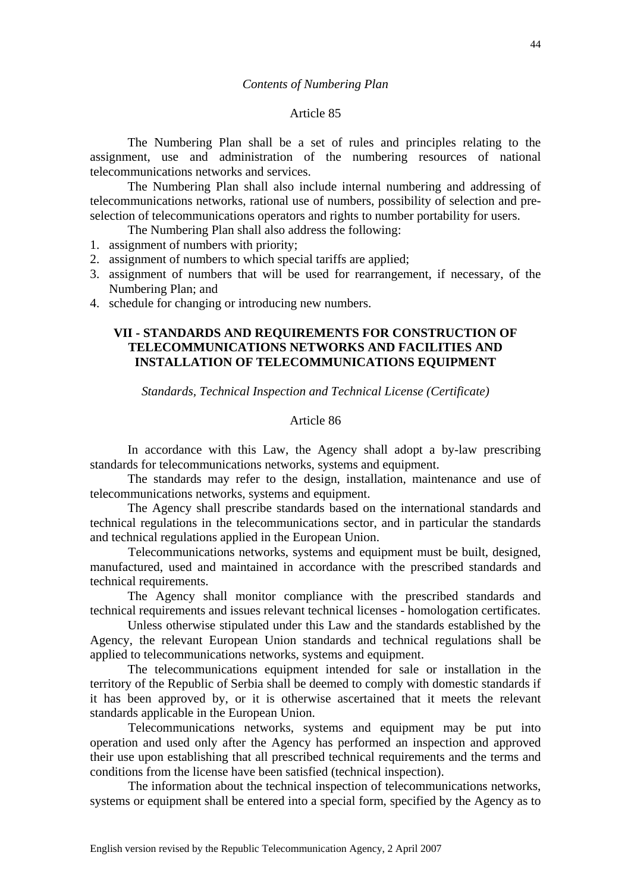#### *Contents of Numbering Plan*

#### Article 85

 The Numbering Plan shall be a set of rules and principles relating to the assignment, use and administration of the numbering resources of national telecommunications networks and services.

 The Numbering Plan shall also include internal numbering and addressing of telecommunications networks, rational use of numbers, possibility of selection and preselection of telecommunications operators and rights to number portability for users.

The Numbering Plan shall also address the following:

1. assignment of numbers with priority;

- 2. assignment of numbers to which special tariffs are applied;
- 3. assignment of numbers that will be used for rearrangement, if necessary, of the Numbering Plan; and
- 4. schedule for changing or introducing new numbers.

# **VII - STANDARDS AND REQUIREMENTS FOR CONSTRUCTION OF TELECOMMUNICATIONS NETWORKS AND FACILITIES AND INSTALLATION OF TELECOMMUNICATIONS EQUIPMENT**

*Standards, Technical Inspection and Technical License (Certificate)*

### Article 86

 In accordance with this Law, the Agency shall adopt a by-law prescribing standards for telecommunications networks, systems and equipment.

 The standards may refer to the design, installation, maintenance and use of telecommunications networks, systems and equipment.

 The Agency shall prescribe standards based on the international standards and technical regulations in the telecommunications sector, and in particular the standards and technical regulations applied in the European Union.

Telecommunications networks, systems and equipment must be built, designed, manufactured, used and maintained in accordance with the prescribed standards and technical requirements.

 The Agency shall monitor compliance with the prescribed standards and technical requirements and issues relevant technical licenses - homologation certificates.

 Unless otherwise stipulated under this Law and the standards established by the Agency, the relevant European Union standards and technical regulations shall be applied to telecommunications networks, systems and equipment.

 The telecommunications equipment intended for sale or installation in the territory of the Republic of Serbia shall be deemed to comply with domestic standards if it has been approved by, or it is otherwise ascertained that it meets the relevant standards applicable in the European Union.

Telecommunications networks, systems and equipment may be put into operation and used only after the Agency has performed an inspection and approved their use upon establishing that all prescribed technical requirements and the terms and conditions from the license have been satisfied (technical inspection).

The information about the technical inspection of telecommunications networks, systems or equipment shall be entered into a special form, specified by the Agency as to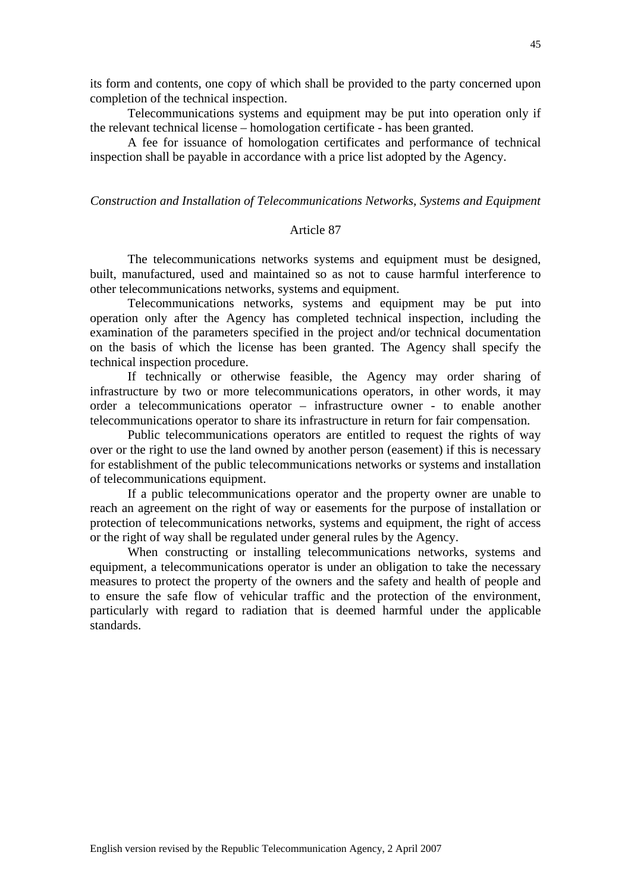its form and contents, one copy of which shall be provided to the party concerned upon completion of the technical inspection.

 Telecommunications systems and equipment may be put into operation only if the relevant technical license – homologation certificate - has been granted.

 A fee for issuance of homologation certificates and performance of technical inspection shall be payable in accordance with a price list adopted by the Agency.

# *Construction and Installation of Telecommunications Networks, Systems and Equipment*

# Article 87

 The telecommunications networks systems and equipment must be designed, built, manufactured, used and maintained so as not to cause harmful interference to other telecommunications networks, systems and equipment.

 Telecommunications networks, systems and equipment may be put into operation only after the Agency has completed technical inspection, including the examination of the parameters specified in the project and/or technical documentation on the basis of which the license has been granted. The Agency shall specify the technical inspection procedure.

 If technically or otherwise feasible, the Agency may order sharing of infrastructure by two or more telecommunications operators, in other words, it may order a telecommunications operator – infrastructure owner - to enable another telecommunications operator to share its infrastructure in return for fair compensation.

 Public telecommunications operators are entitled to request the rights of way over or the right to use the land owned by another person (easement) if this is necessary for establishment of the public telecommunications networks or systems and installation of telecommunications equipment.

 If a public telecommunications operator and the property owner are unable to reach an agreement on the right of way or easements for the purpose of installation or protection of telecommunications networks, systems and equipment, the right of access or the right of way shall be regulated under general rules by the Agency.

 When constructing or installing telecommunications networks, systems and equipment, a telecommunications operator is under an obligation to take the necessary measures to protect the property of the owners and the safety and health of people and to ensure the safe flow of vehicular traffic and the protection of the environment, particularly with regard to radiation that is deemed harmful under the applicable standards.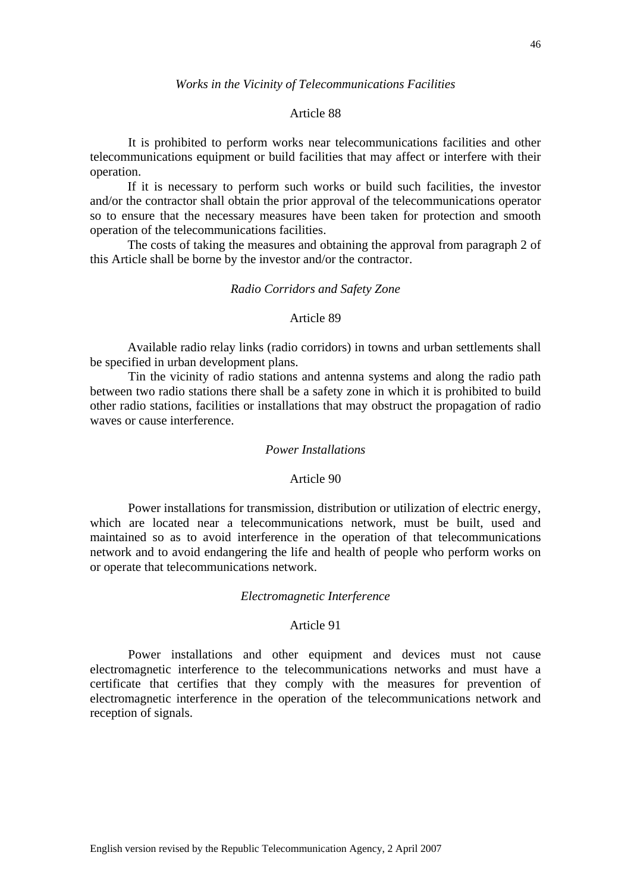### Article 88

It is prohibited to perform works near telecommunications facilities and other telecommunications equipment or build facilities that may affect or interfere with their operation.

 If it is necessary to perform such works or build such facilities, the investor and/or the contractor shall obtain the prior approval of the telecommunications operator so to ensure that the necessary measures have been taken for protection and smooth operation of the telecommunications facilities.

 The costs of taking the measures and obtaining the approval from paragraph 2 of this Article shall be borne by the investor and/or the contractor.

### *Radio Corridors and Safety Zone*

### Article 89

 Available radio relay links (radio corridors) in towns and urban settlements shall be specified in urban development plans.

Tin the vicinity of radio stations and antenna systems and along the radio path between two radio stations there shall be a safety zone in which it is prohibited to build other radio stations, facilities or installations that may obstruct the propagation of radio waves or cause interference.

# *Power Installations*

#### Article 90

Power installations for transmission, distribution or utilization of electric energy, which are located near a telecommunications network, must be built, used and maintained so as to avoid interference in the operation of that telecommunications network and to avoid endangering the life and health of people who perform works on or operate that telecommunications network.

# *Electromagnetic Interference*

# Article 91

Power installations and other equipment and devices must not cause electromagnetic interference to the telecommunications networks and must have a certificate that certifies that they comply with the measures for prevention of electromagnetic interference in the operation of the telecommunications network and reception of signals.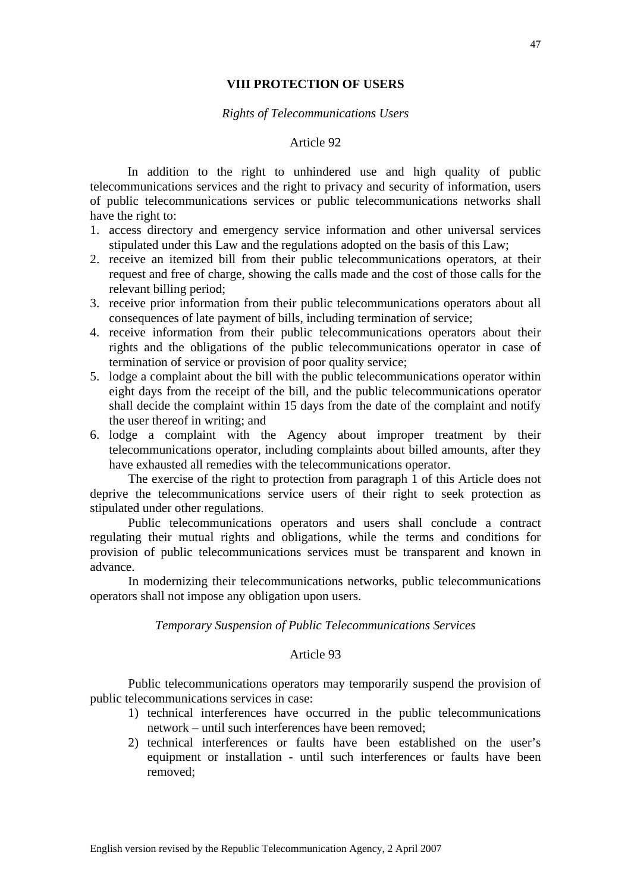# **VIII PROTECTION OF USERS**

## *Rights of Telecommunications Users*

### Article 92

 In addition to the right to unhindered use and high quality of public telecommunications services and the right to privacy and security of information, users of public telecommunications services or public telecommunications networks shall have the right to:

- 1. access directory and emergency service information and other universal services stipulated under this Law and the regulations adopted on the basis of this Law;
- 2. receive an itemized bill from their public telecommunications operators, at their request and free of charge, showing the calls made and the cost of those calls for the relevant billing period;
- 3. receive prior information from their public telecommunications operators about all consequences of late payment of bills, including termination of service;
- 4. receive information from their public telecommunications operators about their rights and the obligations of the public telecommunications operator in case of termination of service or provision of poor quality service;
- 5. lodge a complaint about the bill with the public telecommunications operator within eight days from the receipt of the bill, and the public telecommunications operator shall decide the complaint within 15 days from the date of the complaint and notify the user thereof in writing; and
- 6. lodge a complaint with the Agency about improper treatment by their telecommunications operator, including complaints about billed amounts, after they have exhausted all remedies with the telecommunications operator.

The exercise of the right to protection from paragraph 1 of this Article does not deprive the telecommunications service users of their right to seek protection as stipulated under other regulations.

Public telecommunications operators and users shall conclude a contract regulating their mutual rights and obligations, while the terms and conditions for provision of public telecommunications services must be transparent and known in advance.

In modernizing their telecommunications networks, public telecommunications operators shall not impose any obligation upon users.

### *Temporary Suspension of Public Telecommunications Services*

# Article 93

 Public telecommunications operators may temporarily suspend the provision of public telecommunications services in case:

- 1) technical interferences have occurred in the public telecommunications network – until such interferences have been removed;
- 2) technical interferences or faults have been established on the user's equipment or installation - until such interferences or faults have been removed;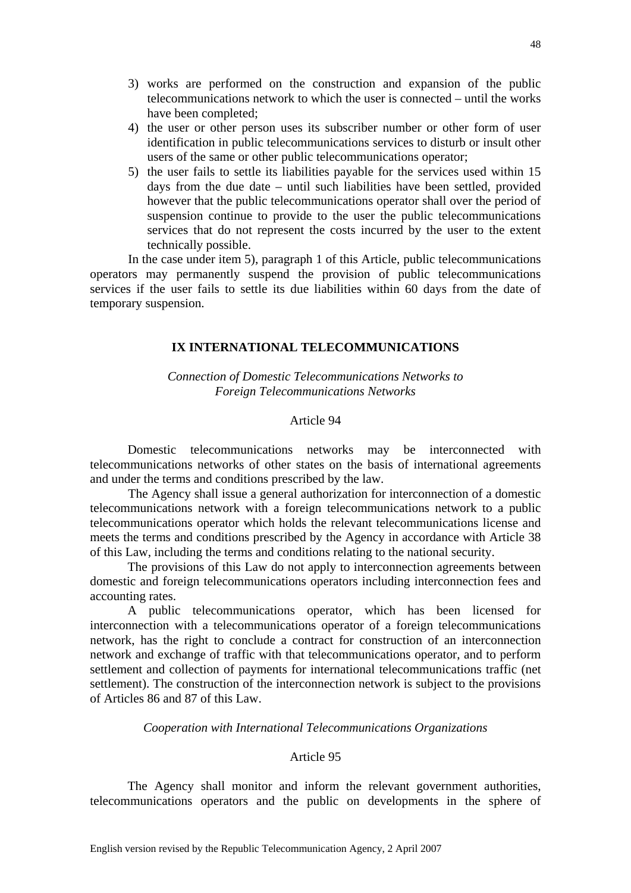- 3) works are performed on the construction and expansion of the public telecommunications network to which the user is connected – until the works have been completed;
- 4) the user or other person uses its subscriber number or other form of user identification in public telecommunications services to disturb or insult other users of the same or other public telecommunications operator;
- 5) the user fails to settle its liabilities payable for the services used within 15 days from the due date – until such liabilities have been settled, provided however that the public telecommunications operator shall over the period of suspension continue to provide to the user the public telecommunications services that do not represent the costs incurred by the user to the extent technically possible.

In the case under item 5), paragraph 1 of this Article, public telecommunications operators may permanently suspend the provision of public telecommunications services if the user fails to settle its due liabilities within 60 days from the date of temporary suspension.

# **IX INTERNATIONAL TELECOMMUNICATIONS**

*Connection of Domestic Telecommunications Networks to Foreign Telecommunications Networks* 

### Article 94

 Domestic telecommunications networks may be interconnected with telecommunications networks of other states on the basis of international agreements and under the terms and conditions prescribed by the law.

The Agency shall issue a general authorization for interconnection of a domestic telecommunications network with a foreign telecommunications network to a public telecommunications operator which holds the relevant telecommunications license and meets the terms and conditions prescribed by the Agency in accordance with Article 38 of this Law, including the terms and conditions relating to the national security.

 The provisions of this Law do not apply to interconnection agreements between domestic and foreign telecommunications operators including interconnection fees and accounting rates.

 A public telecommunications operator, which has been licensed for interconnection with a telecommunications operator of a foreign telecommunications network, has the right to conclude a contract for construction of an interconnection network and exchange of traffic with that telecommunications operator, and to perform settlement and collection of payments for international telecommunications traffic (net settlement). The construction of the interconnection network is subject to the provisions of Articles 86 and 87 of this Law.

# *Cooperation with International Telecommunications Organizations*

### Article 95

 The Agency shall monitor and inform the relevant government authorities, telecommunications operators and the public on developments in the sphere of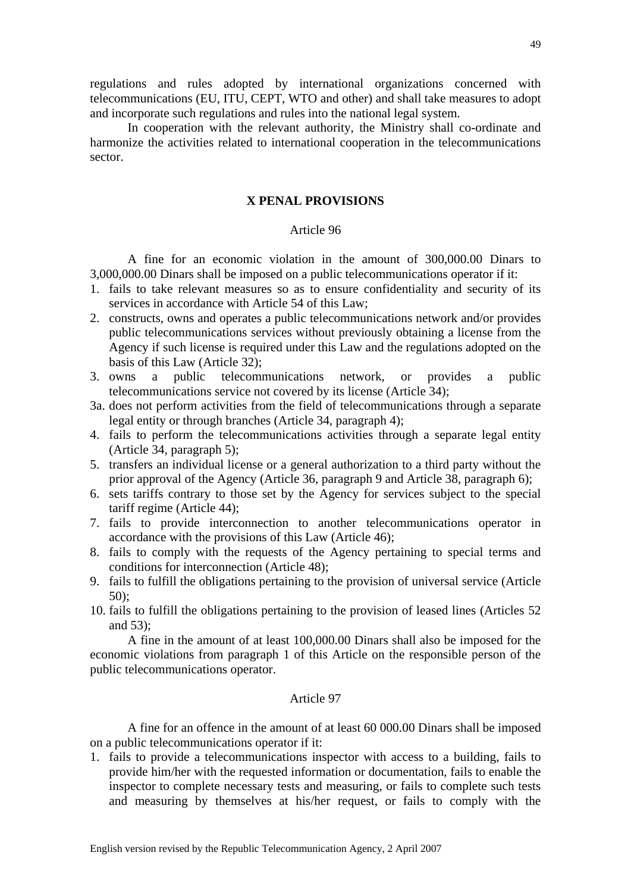regulations and rules adopted by international organizations concerned with telecommunications (EU, ITU, CEPT, WTO and other) and shall take measures to adopt and incorporate such regulations and rules into the national legal system.

 In cooperation with the relevant authority, the Ministry shall co-ordinate and harmonize the activities related to international cooperation in the telecommunications sector.

# **X PENAL PROVISIONS**

# Article 96

 A fine for an economic violation in the amount of 300,000.00 Dinars to 3,000,000.00 Dinars shall be imposed on a public telecommunications operator if it:

- 1. fails to take relevant measures so as to ensure confidentiality and security of its services in accordance with Article 54 of this Law;
- 2. constructs, owns and operates a public telecommunications network and/or provides public telecommunications services without previously obtaining a license from the Agency if such license is required under this Law and the regulations adopted on the basis of this Law (Article 32);
- 3. owns a public telecommunications network, or provides a public telecommunications service not covered by its license (Article 34);
- 3a. does not perform activities from the field of telecommunications through a separate legal entity or through branches (Article 34, paragraph 4);
- 4. fails to perform the telecommunications activities through a separate legal entity (Article 34, paragraph 5);
- 5. transfers an individual license or a general authorization to a third party without the prior approval of the Agency (Article 36, paragraph 9 and Article 38, paragraph 6);
- 6. sets tariffs contrary to those set by the Agency for services subject to the special tariff regime (Article 44);
- 7. fails to provide interconnection to another telecommunications operator in accordance with the provisions of this Law (Article 46);
- 8. fails to comply with the requests of the Agency pertaining to special terms and conditions for interconnection (Article 48);
- 9. fails to fulfill the obligations pertaining to the provision of universal service (Article 50);
- 10. fails to fulfill the obligations pertaining to the provision of leased lines (Articles 52 and 53);

 A fine in the amount of at least 100,000.00 Dinars shall also be imposed for the economic violations from paragraph 1 of this Article on the responsible person of the public telecommunications operator.

### Article 97

 A fine for an offence in the amount of at least 60 000.00 Dinars shall be imposed on a public telecommunications operator if it:

1. fails to provide a telecommunications inspector with access to a building, fails to provide him/her with the requested information or documentation, fails to enable the inspector to complete necessary tests and measuring, or fails to complete such tests and measuring by themselves at his/her request, or fails to comply with the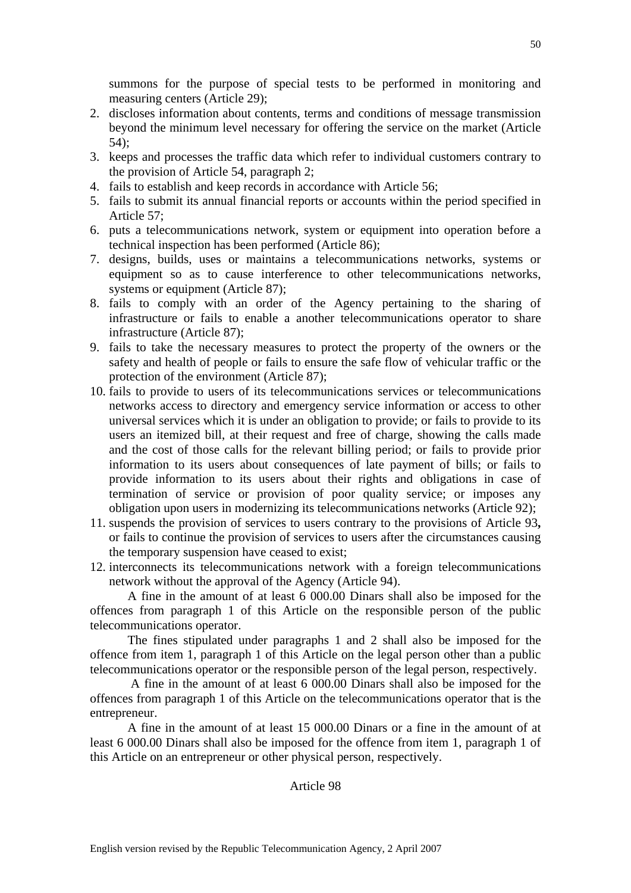summons for the purpose of special tests to be performed in monitoring and measuring centers (Article 29);

- 2. discloses information about contents, terms and conditions of message transmission beyond the minimum level necessary for offering the service on the market (Article 54);
- 3. keeps and processes the traffic data which refer to individual customers contrary to the provision of Article 54, paragraph 2;
- 4. fails to establish and keep records in accordance with Article 56;
- 5. fails to submit its annual financial reports or accounts within the period specified in Article 57;
- 6. puts a telecommunications network, system or equipment into operation before a technical inspection has been performed (Article 86);
- 7. designs, builds, uses or maintains a telecommunications networks, systems or equipment so as to cause interference to other telecommunications networks, systems or equipment (Article 87);
- 8. fails to comply with an order of the Agency pertaining to the sharing of infrastructure or fails to enable a another telecommunications operator to share infrastructure (Article 87);
- 9. fails to take the necessary measures to protect the property of the owners or the safety and health of people or fails to ensure the safe flow of vehicular traffic or the protection of the environment (Article 87);
- 10. fails to provide to users of its telecommunications services or telecommunications networks access to directory and emergency service information or access to other universal services which it is under an obligation to provide; or fails to provide to its users an itemized bill, at their request and free of charge, showing the calls made and the cost of those calls for the relevant billing period; or fails to provide prior information to its users about consequences of late payment of bills; or fails to provide information to its users about their rights and obligations in case of termination of service or provision of poor quality service; or imposes any obligation upon users in modernizing its telecommunications networks (Article 92);
- 11. suspends the provision of services to users contrary to the provisions of Article 93**,** or fails to continue the provision of services to users after the circumstances causing the temporary suspension have ceased to exist;
- 12. interconnects its telecommunications network with a foreign telecommunications network without the approval of the Agency (Article 94).

 A fine in the amount of at least 6 000.00 Dinars shall also be imposed for the offences from paragraph 1 of this Article on the responsible person of the public telecommunications operator.

 The fines stipulated under paragraphs 1 and 2 shall also be imposed for the offence from item 1, paragraph 1 of this Article on the legal person other than a public telecommunications operator or the responsible person of the legal person, respectively.

 A fine in the amount of at least 6 000.00 Dinars shall also be imposed for the offences from paragraph 1 of this Article on the telecommunications operator that is the entrepreneur.

 A fine in the amount of at least 15 000.00 Dinars or a fine in the amount of at least 6 000.00 Dinars shall also be imposed for the offence from item 1, paragraph 1 of this Article on an entrepreneur or other physical person, respectively.

# Article 98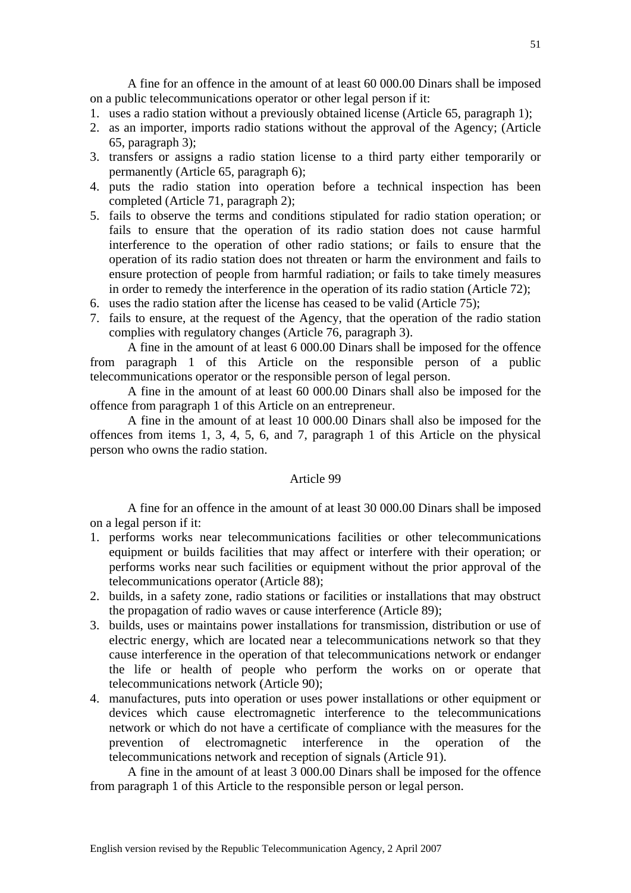A fine for an offence in the amount of at least 60 000.00 Dinars shall be imposed on a public telecommunications operator or other legal person if it:

- 1. uses a radio station without a previously obtained license (Article 65, paragraph 1);
- 2. as an importer, imports radio stations without the approval of the Agency; (Article 65, paragraph 3);
- 3. transfers or assigns a radio station license to a third party either temporarily or permanently (Article 65, paragraph 6);
- 4. puts the radio station into operation before a technical inspection has been completed (Article 71, paragraph 2);
- 5. fails to observe the terms and conditions stipulated for radio station operation; or fails to ensure that the operation of its radio station does not cause harmful interference to the operation of other radio stations; or fails to ensure that the operation of its radio station does not threaten or harm the environment and fails to ensure protection of people from harmful radiation; or fails to take timely measures in order to remedy the interference in the operation of its radio station (Article 72);
- 6. uses the radio station after the license has ceased to be valid (Article 75);
- 7. fails to ensure, at the request of the Agency, that the operation of the radio station complies with regulatory changes (Article 76, paragraph 3).

 A fine in the amount of at least 6 000.00 Dinars shall be imposed for the offence from paragraph 1 of this Article on the responsible person of a public telecommunications operator or the responsible person of legal person.

 A fine in the amount of at least 60 000.00 Dinars shall also be imposed for the offence from paragraph 1 of this Article on an entrepreneur.

 A fine in the amount of at least 10 000.00 Dinars shall also be imposed for the offences from items 1, 3, 4, 5, 6, and 7, paragraph 1 of this Article on the physical person who owns the radio station.

### Article 99

 A fine for an offence in the amount of at least 30 000.00 Dinars shall be imposed on a legal person if it:

- 1. performs works near telecommunications facilities or other telecommunications equipment or builds facilities that may affect or interfere with their operation; or performs works near such facilities or equipment without the prior approval of the telecommunications operator (Article 88);
- 2. builds, in a safety zone, radio stations or facilities or installations that may obstruct the propagation of radio waves or cause interference (Article 89);
- 3. builds, uses or maintains power installations for transmission, distribution or use of electric energy, which are located near a telecommunications network so that they cause interference in the operation of that telecommunications network or endanger the life or health of people who perform the works on or operate that telecommunications network (Article 90);
- 4. manufactures, puts into operation or uses power installations or other equipment or devices which cause electromagnetic interference to the telecommunications network or which do not have a certificate of compliance with the measures for the prevention of electromagnetic interference in the operation of the telecommunications network and reception of signals (Article 91).

 A fine in the amount of at least 3 000.00 Dinars shall be imposed for the offence from paragraph 1 of this Article to the responsible person or legal person.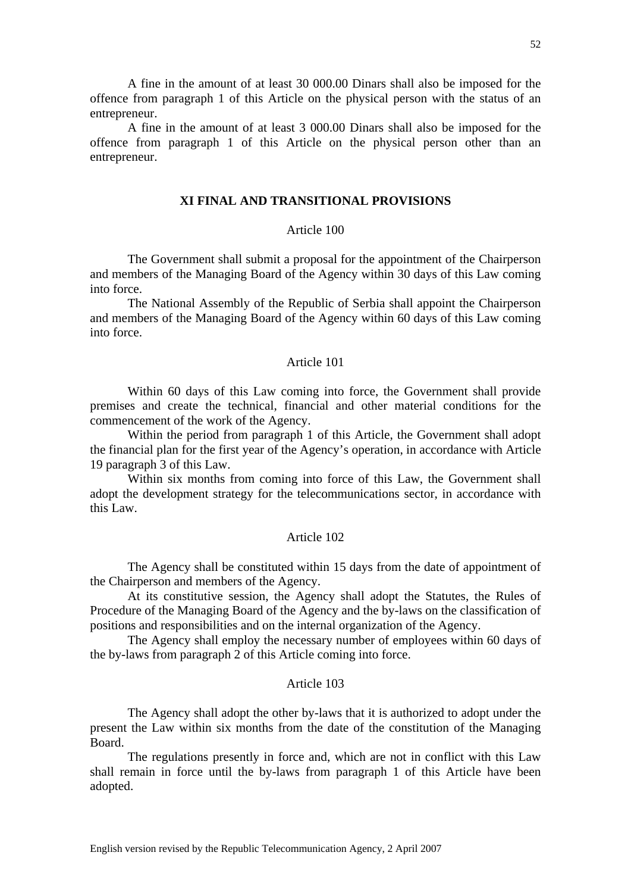A fine in the amount of at least 30 000.00 Dinars shall also be imposed for the offence from paragraph 1 of this Article on the physical person with the status of an entrepreneur.

 A fine in the amount of at least 3 000.00 Dinars shall also be imposed for the offence from paragraph 1 of this Article on the physical person other than an entrepreneur.

# **XI FINAL AND TRANSITIONAL PROVISIONS**

# Article 100

 The Government shall submit a proposal for the appointment of the Chairperson and members of the Managing Board of the Agency within 30 days of this Law coming into force.

 The National Assembly of the Republic of Serbia shall appoint the Chairperson and members of the Managing Board of the Agency within 60 days of this Law coming into force.

### Article 101

 Within 60 days of this Law coming into force, the Government shall provide premises and create the technical, financial and other material conditions for the commencement of the work of the Agency.

 Within the period from paragraph 1 of this Article, the Government shall adopt the financial plan for the first year of the Agency's operation, in accordance with Article 19 paragraph 3 of this Law.

 Within six months from coming into force of this Law, the Government shall adopt the development strategy for the telecommunications sector, in accordance with this Law.

#### Article 102

 The Agency shall be constituted within 15 days from the date of appointment of the Chairperson and members of the Agency.

 At its constitutive session, the Agency shall adopt the Statutes, the Rules of Procedure of the Managing Board of the Agency and the by-laws on the classification of positions and responsibilities and on the internal organization of the Agency.

 The Agency shall employ the necessary number of employees within 60 days of the by-laws from paragraph 2 of this Article coming into force.

#### Article 103

 The Agency shall adopt the other by-laws that it is authorized to adopt under the present the Law within six months from the date of the constitution of the Managing Board.

 The regulations presently in force and, which are not in conflict with this Law shall remain in force until the by-laws from paragraph 1 of this Article have been adopted.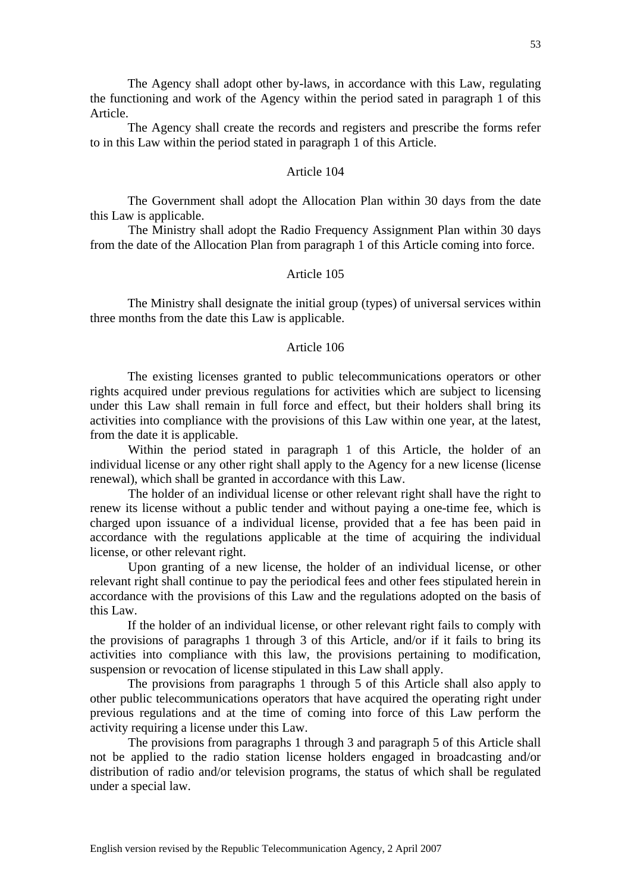The Agency shall create the records and registers and prescribe the forms refer to in this Law within the period stated in paragraph 1 of this Article.

# Article 104

 The Government shall adopt the Allocation Plan within 30 days from the date this Law is applicable.

The Ministry shall adopt the Radio Frequency Assignment Plan within 30 days from the date of the Allocation Plan from paragraph 1 of this Article coming into force.

### Article 105

 The Ministry shall designate the initial group (types) of universal services within three months from the date this Law is applicable.

# Article 106

 The existing licenses granted to public telecommunications operators or other rights acquired under previous regulations for activities which are subject to licensing under this Law shall remain in full force and effect, but their holders shall bring its activities into compliance with the provisions of this Law within one year, at the latest, from the date it is applicable.

Within the period stated in paragraph 1 of this Article, the holder of an individual license or any other right shall apply to the Agency for a new license (license renewal), which shall be granted in accordance with this Law.

The holder of an individual license or other relevant right shall have the right to renew its license without a public tender and without paying a one-time fee, which is charged upon issuance of a individual license, provided that a fee has been paid in accordance with the regulations applicable at the time of acquiring the individual license, or other relevant right.

 Upon granting of a new license, the holder of an individual license, or other relevant right shall continue to pay the periodical fees and other fees stipulated herein in accordance with the provisions of this Law and the regulations adopted on the basis of this Law.

 If the holder of an individual license, or other relevant right fails to comply with the provisions of paragraphs 1 through 3 of this Article, and/or if it fails to bring its activities into compliance with this law, the provisions pertaining to modification, suspension or revocation of license stipulated in this Law shall apply.

 The provisions from paragraphs 1 through 5 of this Article shall also apply to other public telecommunications operators that have acquired the operating right under previous regulations and at the time of coming into force of this Law perform the activity requiring a license under this Law.

The provisions from paragraphs 1 through 3 and paragraph 5 of this Article shall not be applied to the radio station license holders engaged in broadcasting and/or distribution of radio and/or television programs, the status of which shall be regulated under a special law.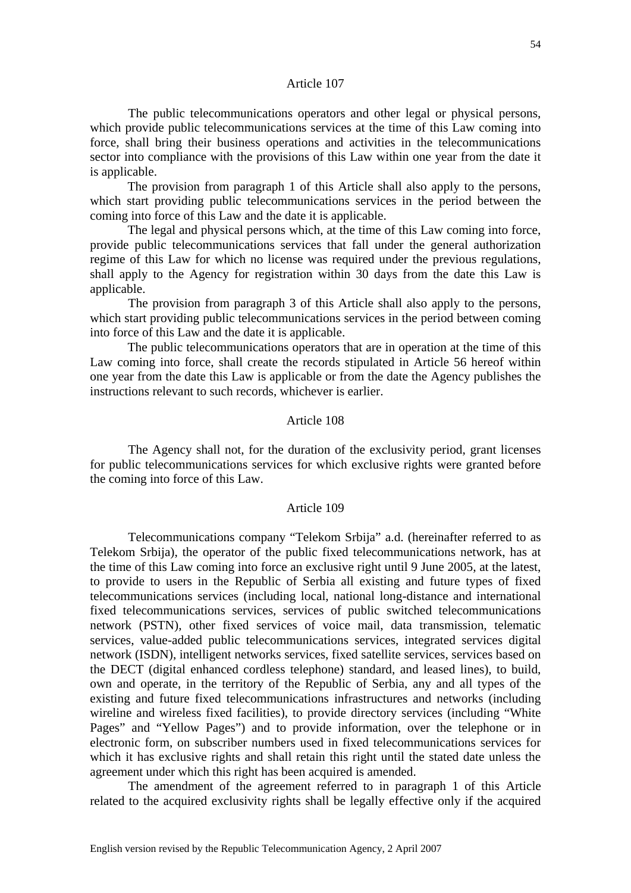### Article 107

The public telecommunications operators and other legal or physical persons, which provide public telecommunications services at the time of this Law coming into force, shall bring their business operations and activities in the telecommunications sector into compliance with the provisions of this Law within one year from the date it is applicable.

 The provision from paragraph 1 of this Article shall also apply to the persons, which start providing public telecommunications services in the period between the coming into force of this Law and the date it is applicable.

 The legal and physical persons which, at the time of this Law coming into force, provide public telecommunications services that fall under the general authorization regime of this Law for which no license was required under the previous regulations, shall apply to the Agency for registration within 30 days from the date this Law is applicable.

The provision from paragraph 3 of this Article shall also apply to the persons, which start providing public telecommunications services in the period between coming into force of this Law and the date it is applicable.

 The public telecommunications operators that are in operation at the time of this Law coming into force, shall create the records stipulated in Article 56 hereof within one year from the date this Law is applicable or from the date the Agency publishes the instructions relevant to such records, whichever is earlier.

# Article 108

The Agency shall not, for the duration of the exclusivity period, grant licenses for public telecommunications services for which exclusive rights were granted before the coming into force of this Law.

# Article 109

Telecommunications company "Telekom Srbija" a.d. (hereinafter referred to as Telekom Srbija), the operator of the public fixed telecommunications network, has at the time of this Law coming into force an exclusive right until 9 June 2005, at the latest, to provide to users in the Republic of Serbia all existing and future types of fixed telecommunications services (including local, national long-distance and international fixed telecommunications services, services of public switched telecommunications network (PSTN), other fixed services of voice mail, data transmission, telematic services, value-added public telecommunications services, integrated services digital network (ISDN), intelligent networks services, fixed satellite services, services based on the DECT (digital enhanced cordless telephone) standard, and leased lines), to build, own and operate, in the territory of the Republic of Serbia, any and all types of the existing and future fixed telecommunications infrastructures and networks (including wireline and wireless fixed facilities), to provide directory services (including "White Pages" and "Yellow Pages") and to provide information, over the telephone or in electronic form, on subscriber numbers used in fixed telecommunications services for which it has exclusive rights and shall retain this right until the stated date unless the agreement under which this right has been acquired is amended.

 The amendment of the agreement referred to in paragraph 1 of this Article related to the acquired exclusivity rights shall be legally effective only if the acquired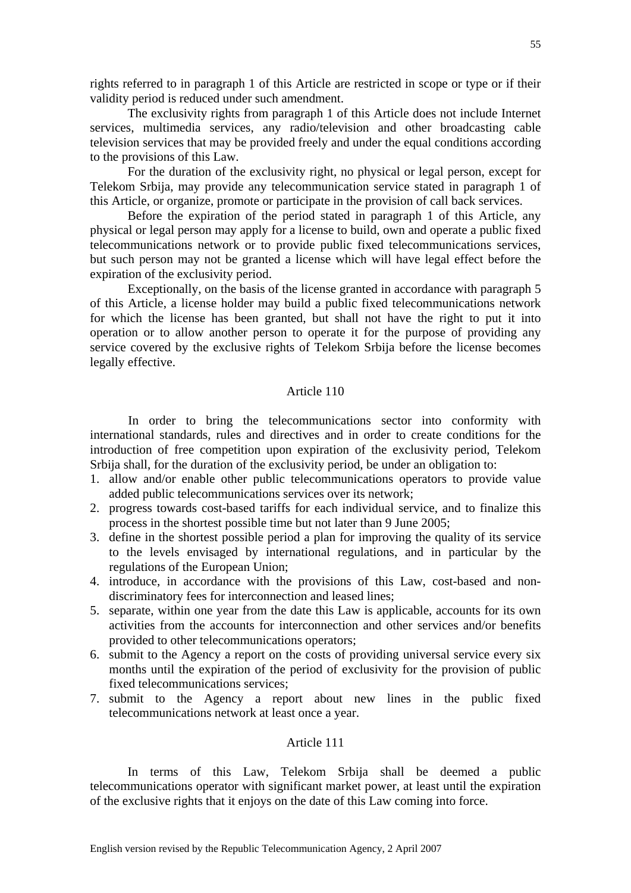rights referred to in paragraph 1 of this Article are restricted in scope or type or if their validity period is reduced under such amendment.

 The exclusivity rights from paragraph 1 of this Article does not include Internet services, multimedia services, any radio/television and other broadcasting cable television services that may be provided freely and under the equal conditions according to the provisions of this Law.

 For the duration of the exclusivity right, no physical or legal person, except for Telekom Srbija, may provide any telecommunication service stated in paragraph 1 of this Article, or organize, promote or participate in the provision of call back services.

 Before the expiration of the period stated in paragraph 1 of this Article, any physical or legal person may apply for a license to build, own and operate a public fixed telecommunications network or to provide public fixed telecommunications services, but such person may not be granted a license which will have legal effect before the expiration of the exclusivity period.

 Exceptionally, on the basis of the license granted in accordance with paragraph 5 of this Article, a license holder may build a public fixed telecommunications network for which the license has been granted, but shall not have the right to put it into operation or to allow another person to operate it for the purpose of providing any service covered by the exclusive rights of Telekom Srbija before the license becomes legally effective.

# Article 110

In order to bring the telecommunications sector into conformity with international standards, rules and directives and in order to create conditions for the introduction of free competition upon expiration of the exclusivity period, Telekom Srbija shall, for the duration of the exclusivity period, be under an obligation to:

- 1. allow and/or enable other public telecommunications operators to provide value added public telecommunications services over its network;
- 2. progress towards cost-based tariffs for each individual service, and to finalize this process in the shortest possible time but not later than 9 June 2005;
- 3. define in the shortest possible period a plan for improving the quality of its service to the levels envisaged by international regulations, and in particular by the regulations of the European Union;
- 4. introduce, in accordance with the provisions of this Law, cost-based and nondiscriminatory fees for interconnection and leased lines;
- 5. separate, within one year from the date this Law is applicable, accounts for its own activities from the accounts for interconnection and other services and/or benefits provided to other telecommunications operators;
- 6. submit to the Agency a report on the costs of providing universal service every six months until the expiration of the period of exclusivity for the provision of public fixed telecommunications services;
- 7. submit to the Agency a report about new lines in the public fixed telecommunications network at least once a year.

# Article 111

 In terms of this Law, Telekom Srbija shall be deemed a public telecommunications operator with significant market power, at least until the expiration of the exclusive rights that it enjoys on the date of this Law coming into force.